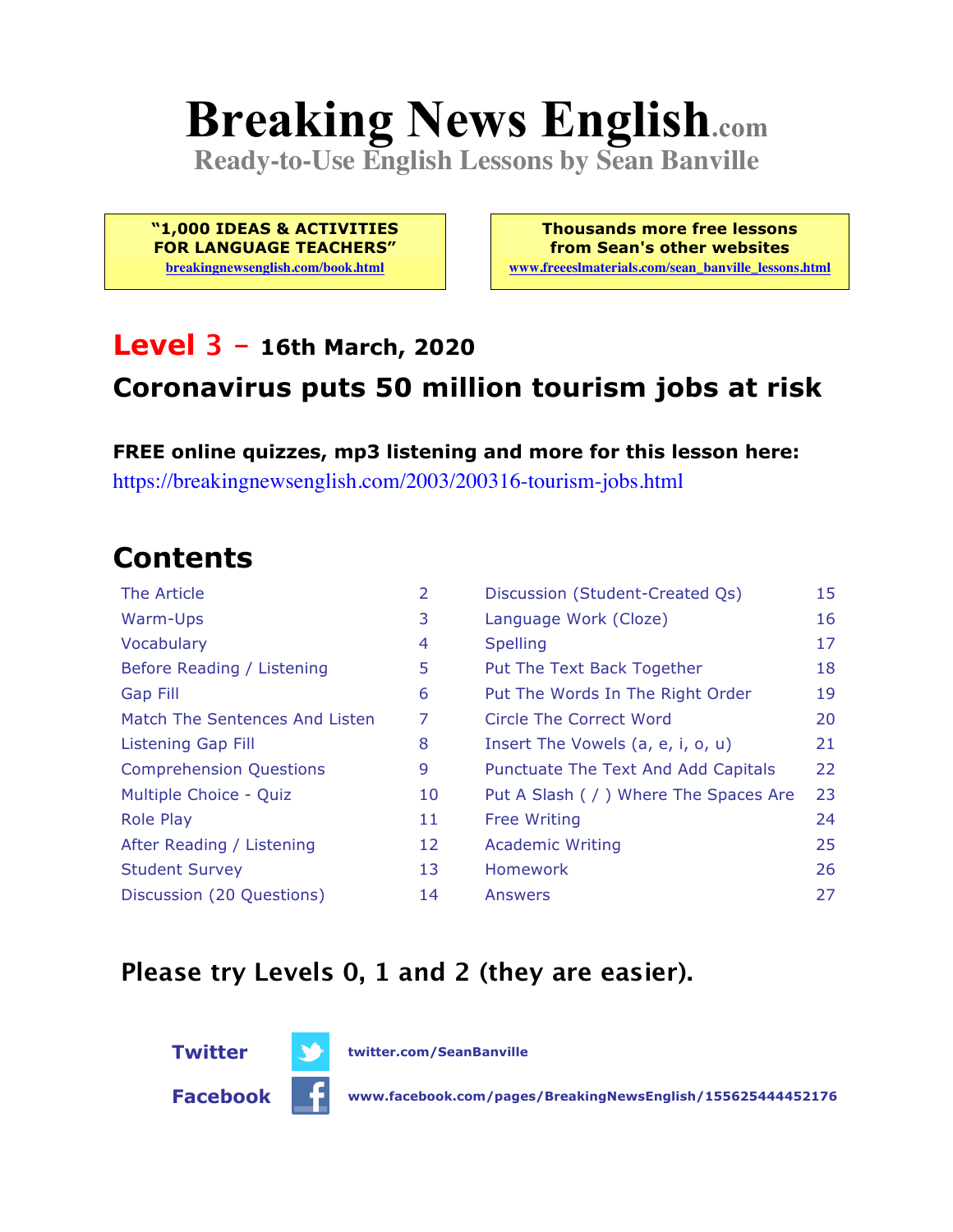# **Breaking News English.com**

**Ready-to-Use English Lessons by Sean Banville**

**"1,000 IDEAS & ACTIVITIES FOR LANGUAGE TEACHERS"**

**breakingnewsenglish.com/book.html**

**Thousands more free lessons from Sean's other websites www.freeeslmaterials.com/sean\_banville\_lessons.html**

#### **Level 3 - 16th March, 2020**

#### **Coronavirus puts 50 million tourism jobs at risk**

**FREE online quizzes, mp3 listening and more for this lesson here:** https://breakingnewsenglish.com/2003/200316-tourism-jobs.html

### **Contents**

| 2  | Discussion (Student-Created Qs)        | 15 |
|----|----------------------------------------|----|
| 3  | Language Work (Cloze)                  | 16 |
| 4  | <b>Spelling</b>                        | 17 |
| 5  | Put The Text Back Together             | 18 |
| 6  | Put The Words In The Right Order       | 19 |
| 7  | Circle The Correct Word                | 20 |
| 8  | Insert The Vowels (a, e, i, o, u)      | 21 |
| 9  | Punctuate The Text And Add Capitals    | 22 |
| 10 | Put A Slash ( / ) Where The Spaces Are | 23 |
| 11 | <b>Free Writing</b>                    | 24 |
| 12 | <b>Academic Writing</b>                | 25 |
| 13 | Homework                               | 26 |
| 14 | Answers                                | 27 |
|    |                                        |    |

#### **Please try Levels 0, 1 and 2 (they are easier).**



**Facebook www.facebook.com/pages/BreakingNewsEnglish/155625444452176**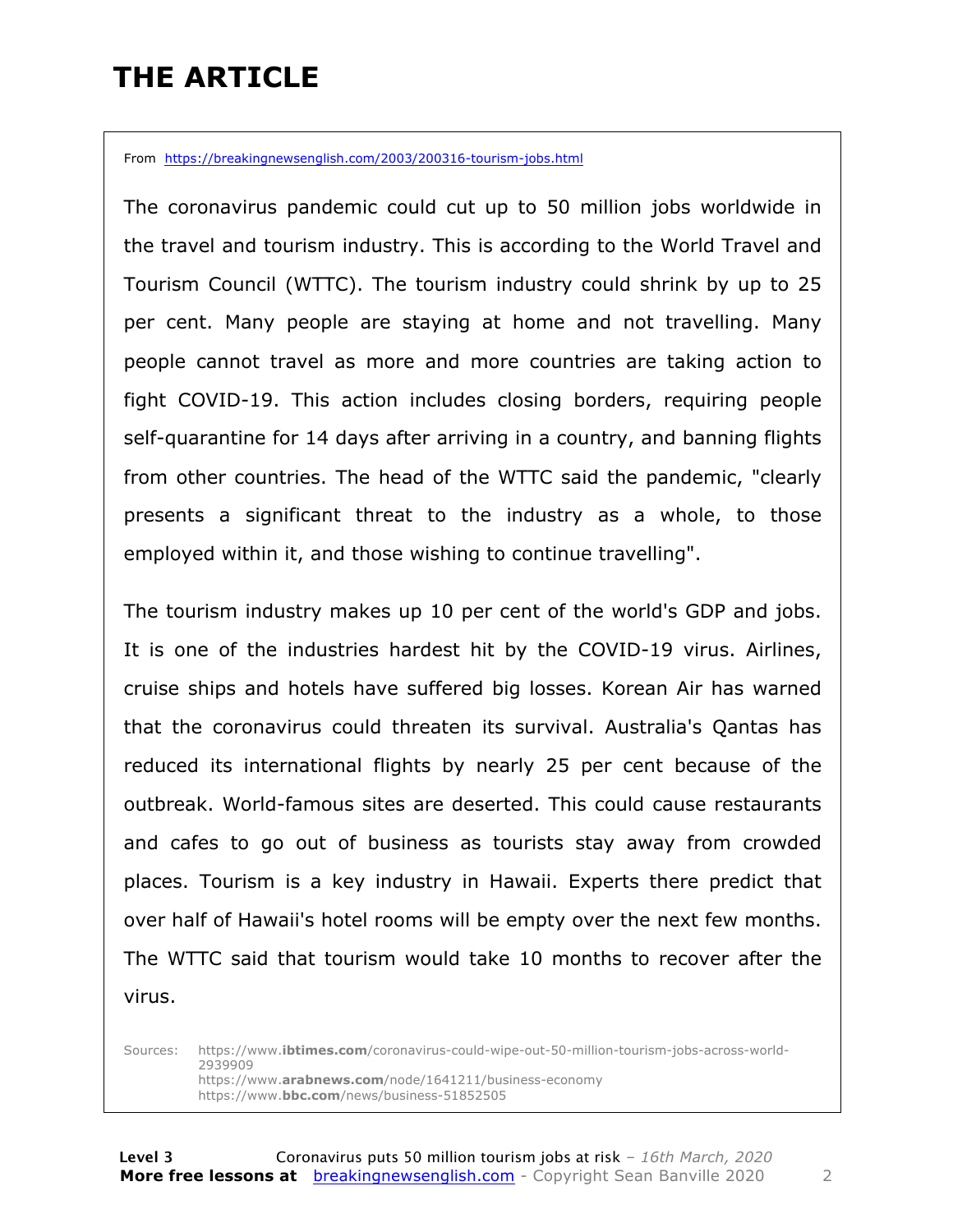### **THE ARTICLE**

From https://breakingnewsenglish.com/2003/200316-tourism-jobs.html

The coronavirus pandemic could cut up to 50 million jobs worldwide in the travel and tourism industry. This is according to the World Travel and Tourism Council (WTTC). The tourism industry could shrink by up to 25 per cent. Many people are staying at home and not travelling. Many people cannot travel as more and more countries are taking action to fight COVID-19. This action includes closing borders, requiring people self-quarantine for 14 days after arriving in a country, and banning flights from other countries. The head of the WTTC said the pandemic, "clearly presents a significant threat to the industry as a whole, to those employed within it, and those wishing to continue travelling".

The tourism industry makes up 10 per cent of the world's GDP and jobs. It is one of the industries hardest hit by the COVID-19 virus. Airlines, cruise ships and hotels have suffered big losses. Korean Air has warned that the coronavirus could threaten its survival. Australia's Qantas has reduced its international flights by nearly 25 per cent because of the outbreak. World-famous sites are deserted. This could cause restaurants and cafes to go out of business as tourists stay away from crowded places. Tourism is a key industry in Hawaii. Experts there predict that over half of Hawaii's hotel rooms will be empty over the next few months. The WTTC said that tourism would take 10 months to recover after the virus.

Sources: https://www.**ibtimes.com**/coronavirus-could-wipe-out-50-million-tourism-jobs-across-world-2939909 https://www.**arabnews.com**/node/1641211/business-economy https://www.**bbc.com**/news/business-51852505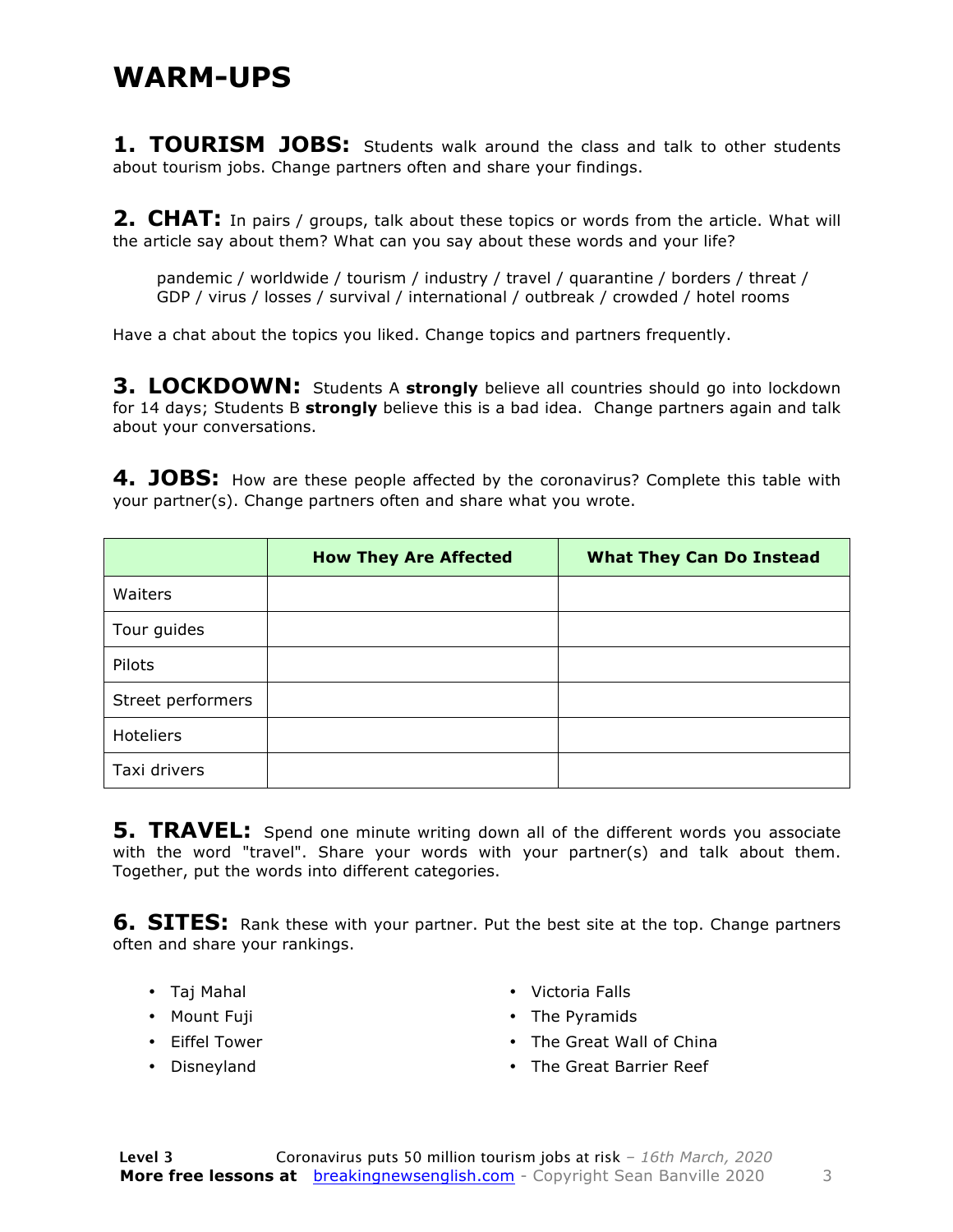#### **WARM-UPS**

**1. TOURISM JOBS:** Students walk around the class and talk to other students about tourism jobs. Change partners often and share your findings.

**2. CHAT:** In pairs / groups, talk about these topics or words from the article. What will the article say about them? What can you say about these words and your life?

pandemic / worldwide / tourism / industry / travel / quarantine / borders / threat / GDP / virus / losses / survival / international / outbreak / crowded / hotel rooms

Have a chat about the topics you liked. Change topics and partners frequently.

**3. LOCKDOWN:** Students A strongly believe all countries should go into lockdown for 14 days; Students B **strongly** believe this is a bad idea. Change partners again and talk about your conversations.

**4. JOBS:** How are these people affected by the coronavirus? Complete this table with your partner(s). Change partners often and share what you wrote.

|                   | <b>How They Are Affected</b> | <b>What They Can Do Instead</b> |
|-------------------|------------------------------|---------------------------------|
| Waiters           |                              |                                 |
| Tour guides       |                              |                                 |
| Pilots            |                              |                                 |
| Street performers |                              |                                 |
| <b>Hoteliers</b>  |                              |                                 |
| Taxi drivers      |                              |                                 |

**5. TRAVEL:** Spend one minute writing down all of the different words you associate with the word "travel". Share your words with your partner(s) and talk about them. Together, put the words into different categories.

**6. SITES:** Rank these with your partner. Put the best site at the top. Change partners often and share your rankings.

- Taj Mahal
- Mount Fuji
- Eiffel Tower
- Disneyland
- Victoria Falls
- The Pyramids
- The Great Wall of China
- The Great Barrier Reef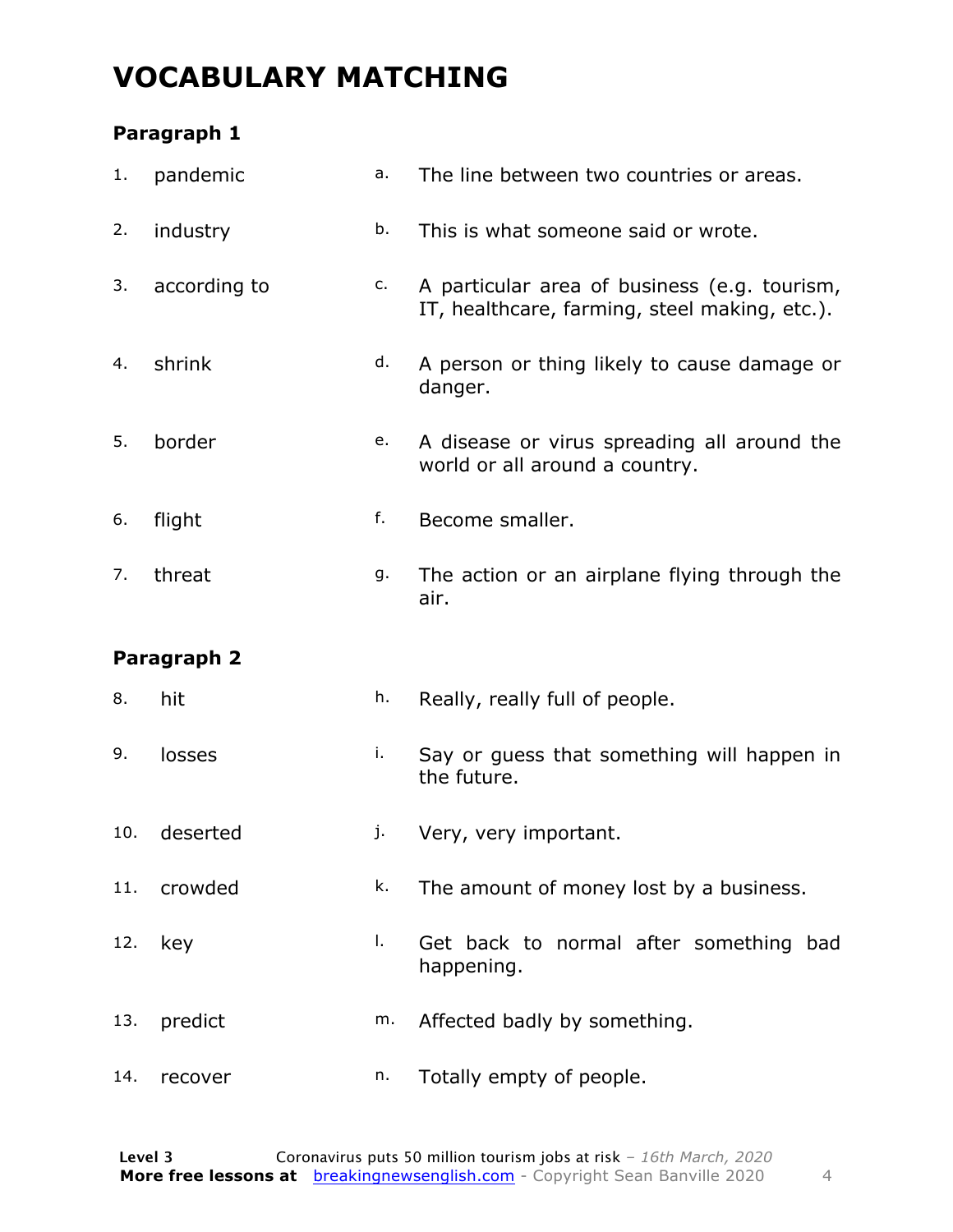### **VOCABULARY MATCHING**

#### **Paragraph 1**

| 1.  | pandemic     | a. | The line between two countries or areas.                                                      |  |  |  |
|-----|--------------|----|-----------------------------------------------------------------------------------------------|--|--|--|
| 2.  | industry     | b. | This is what someone said or wrote.                                                           |  |  |  |
| 3.  | according to | c. | A particular area of business (e.g. tourism,<br>IT, healthcare, farming, steel making, etc.). |  |  |  |
| 4.  | shrink       | d. | A person or thing likely to cause damage or<br>danger.                                        |  |  |  |
| 5.  | border       | е. | A disease or virus spreading all around the<br>world or all around a country.                 |  |  |  |
| 6.  | flight       | f. | Become smaller.                                                                               |  |  |  |
| 7.  | threat       | g. | The action or an airplane flying through the<br>air.                                          |  |  |  |
|     |              |    |                                                                                               |  |  |  |
|     | Paragraph 2  |    |                                                                                               |  |  |  |
| 8.  | hit          | h. | Really, really full of people.                                                                |  |  |  |
| 9.  | losses       | i. | Say or guess that something will happen in<br>the future.                                     |  |  |  |
| 10. | deserted     | j. | Very, very important.                                                                         |  |  |  |
| 11. | crowded      | k. | The amount of money lost by a business.                                                       |  |  |  |
| 12. | key          | Ι. | Get back to normal after something bad<br>happening.                                          |  |  |  |
| 13. | predict      | m. | Affected badly by something.                                                                  |  |  |  |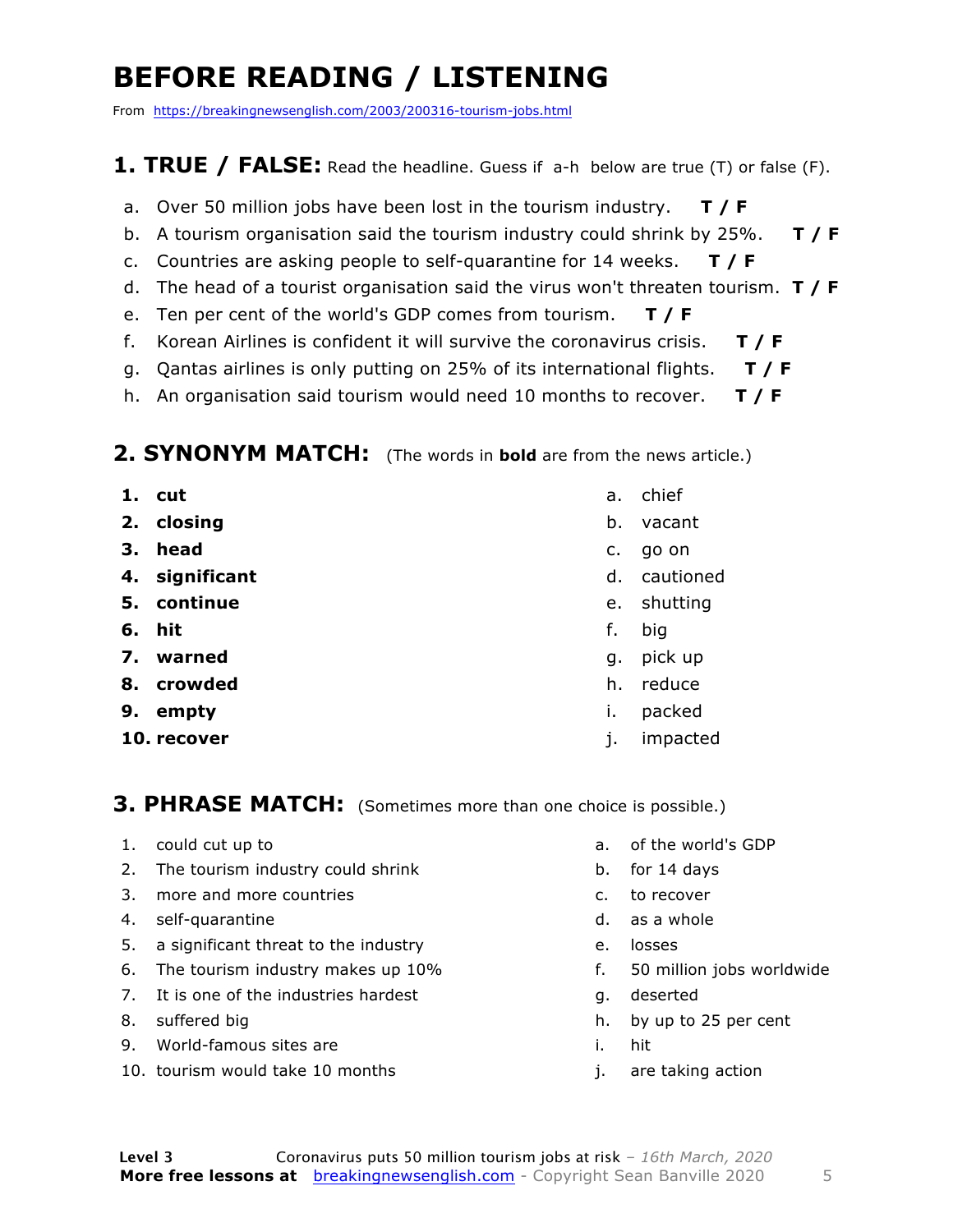### **BEFORE READING / LISTENING**

From https://breakingnewsenglish.com/2003/200316-tourism-jobs.html

#### **1. TRUE / FALSE:** Read the headline. Guess if a-h below are true (T) or false (F).

- a. Over 50 million jobs have been lost in the tourism industry. **T / F**
- b. A tourism organisation said the tourism industry could shrink by 25%. **T / F**
- c. Countries are asking people to self-quarantine for 14 weeks. **T / F**
- d. The head of a tourist organisation said the virus won't threaten tourism. **T / F**
- e. Ten per cent of the world's GDP comes from tourism. **T / F**
- f. Korean Airlines is confident it will survive the coronavirus crisis. **T / F**
- g. Qantas airlines is only putting on 25% of its international flights. **T / F**
- h. An organisation said tourism would need 10 months to recover. **T / F**

#### **2. SYNONYM MATCH:** (The words in **bold** are from the news article.)

- **1. cut**
- **2. closing**
- **3. head**
- **4. significant**
- **5. continue**
- **6. hit**
- **7. warned**
- **8. crowded**
- **9. empty**
- **10. recover**
- a. chief
- b. vacant
- c. go on
- d. cautioned
- e. shutting
- f. big
- g. pick up
- h. reduce
- i. packed
- j. impacted

**3. PHRASE MATCH:** (Sometimes more than one choice is possible.)

- 1. could cut up to
- 2. The tourism industry could shrink
- 3. more and more countries
- 4. self-quarantine
- 5. a significant threat to the industry
- 6. The tourism industry makes up 10%
- 7. It is one of the industries hardest
- 8. suffered big
- 9. World-famous sites are
- 10. tourism would take 10 months
- a. of the world's GDP
- b. for 14 days
- c. to recover
- d. as a whole
- e. losses
- f. 50 million jobs worldwide
- g. deserted
- h. by up to 25 per cent
- i. hit
- j. are taking action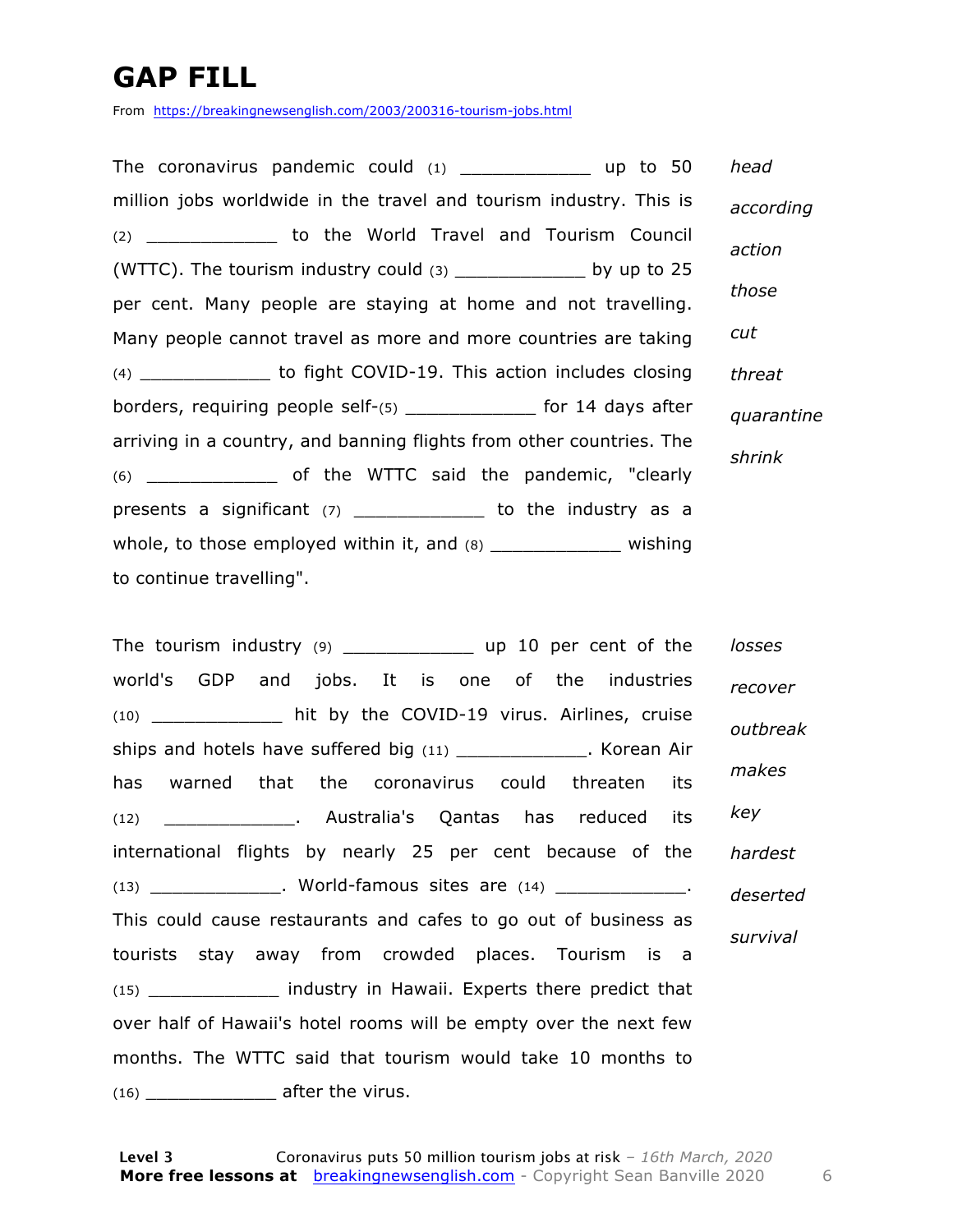### **GAP FILL**

From https://breakingnewsenglish.com/2003/200316-tourism-jobs.html

The coronavirus pandemic could  $(1)$  \_\_\_\_\_\_\_\_\_\_\_\_\_\_ up to 50 million jobs worldwide in the travel and tourism industry. This is (2) \_\_\_\_\_\_\_\_\_\_\_\_ to the World Travel and Tourism Council (WTTC). The tourism industry could  $(3)$  \_\_\_\_\_\_\_\_\_\_\_\_\_\_\_ by up to 25 per cent. Many people are staying at home and not travelling. Many people cannot travel as more and more countries are taking (4) \_\_\_\_\_\_\_\_\_\_\_\_ to fight COVID-19. This action includes closing borders, requiring people self-(5) \_\_\_\_\_\_\_\_\_\_\_\_ for 14 days after arriving in a country, and banning flights from other countries. The (6) \_\_\_\_\_\_\_\_\_\_\_\_ of the WTTC said the pandemic, "clearly presents a significant (7) \_\_\_\_\_\_\_\_\_\_\_\_\_ to the industry as a whole, to those employed within it, and  $(8)$  \_\_\_\_\_\_\_\_\_\_\_\_\_\_\_\_\_\_ wishing to continue travelling". *head according action those cut threat quarantine shrink*

The tourism industry (9) \_\_\_\_\_\_\_\_\_\_\_\_ up 10 per cent of the world's GDP and jobs. It is one of the industries (10) \_\_\_\_\_\_\_\_\_\_\_\_ hit by the COVID-19 virus. Airlines, cruise ships and hotels have suffered big (11) \_\_\_\_\_\_\_\_\_\_\_\_\_. Korean Air has warned that the coronavirus could threaten its (12) \_\_\_\_\_\_\_\_\_\_\_\_. Australia's Qantas has reduced its international flights by nearly 25 per cent because of the  $(13)$  Norld-famous sites are  $(14)$  \_\_\_\_\_\_\_\_\_\_\_\_\_. This could cause restaurants and cafes to go out of business as tourists stay away from crowded places. Tourism is a (15) \_\_\_\_\_\_\_\_\_\_\_\_ industry in Hawaii. Experts there predict that over half of Hawaii's hotel rooms will be empty over the next few months. The WTTC said that tourism would take 10 months to  $(16)$  \_\_\_\_\_\_\_\_\_\_\_\_\_ after the virus. *losses recover outbreak makes key hardest deserted survival*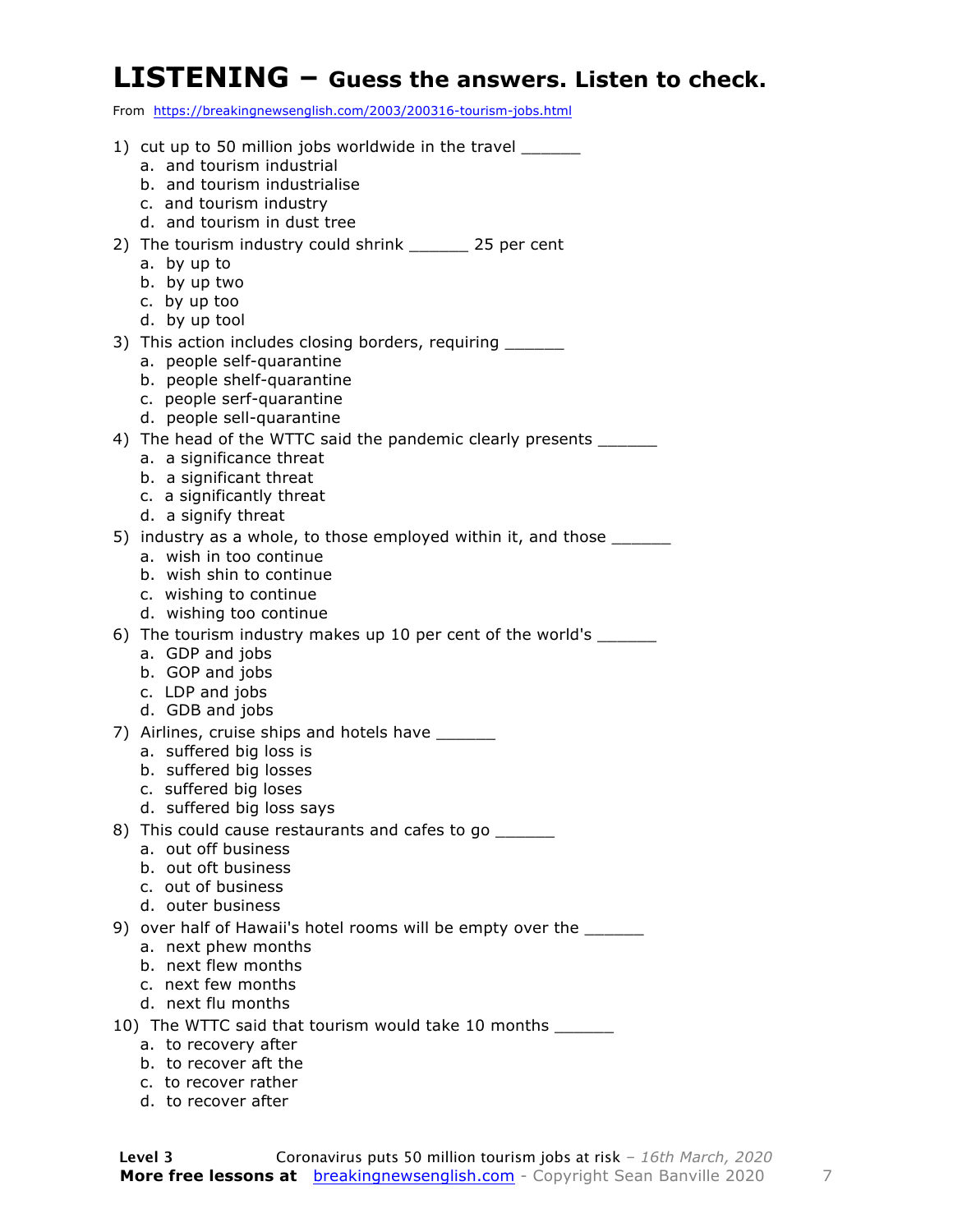#### **LISTENING – Guess the answers. Listen to check.**

From https://breakingnewsenglish.com/2003/200316-tourism-jobs.html

| 1) cut up to 50 million jobs worldwide in the travel ______                                      |
|--------------------------------------------------------------------------------------------------|
| a. and tourism industrial                                                                        |
| b. and tourism industrialise                                                                     |
| c. and tourism industry                                                                          |
| d. and tourism in dust tree                                                                      |
| 2) The tourism industry could shrink _______ 25 per cent                                         |
| a. by up to                                                                                      |
| b. by up two                                                                                     |
| c. by up too                                                                                     |
| d. by up tool                                                                                    |
| 3) This action includes closing borders, requiring ______                                        |
| a. people self-quarantine                                                                        |
| b. people shelf-quarantine                                                                       |
| c. people serf-quarantine                                                                        |
| d. people sell-quarantine                                                                        |
| 4) The head of the WTTC said the pandemic clearly presents ______                                |
| a. a significance threat                                                                         |
| b. a significant threat<br>c. a significantly threat                                             |
| d. a signify threat                                                                              |
|                                                                                                  |
| 5) industry as a whole, to those employed within it, and those ______<br>a. wish in too continue |
| b. wish shin to continue                                                                         |
| c. wishing to continue                                                                           |
| d. wishing too continue                                                                          |
| 6) The tourism industry makes up 10 per cent of the world's ______                               |
| a. GDP and jobs                                                                                  |
| b. GOP and jobs                                                                                  |
| c. LDP and jobs                                                                                  |
| d. GDB and jobs                                                                                  |
| 7) Airlines, cruise ships and hotels have _______                                                |
| a. suffered big loss is                                                                          |
| b. suffered big losses                                                                           |
| c. suffered big loses                                                                            |
| d. suffered big loss says                                                                        |
| 8) This could cause restaurants and cafes to go ______                                           |
| a. out off business                                                                              |
| b. out oft business                                                                              |
| c. out of business                                                                               |
| d. outer business                                                                                |
| 9) over half of Hawaii's hotel rooms will be empty over the _______                              |
| a. next phew months                                                                              |
| b. next flew months                                                                              |
| c. next few months                                                                               |
| d. next flu months                                                                               |
| 10) The WTTC said that tourism would take 10 months ______                                       |
| a. to recovery after                                                                             |
| b. to recover aft the                                                                            |

- c. to recover rather
- d. to recover after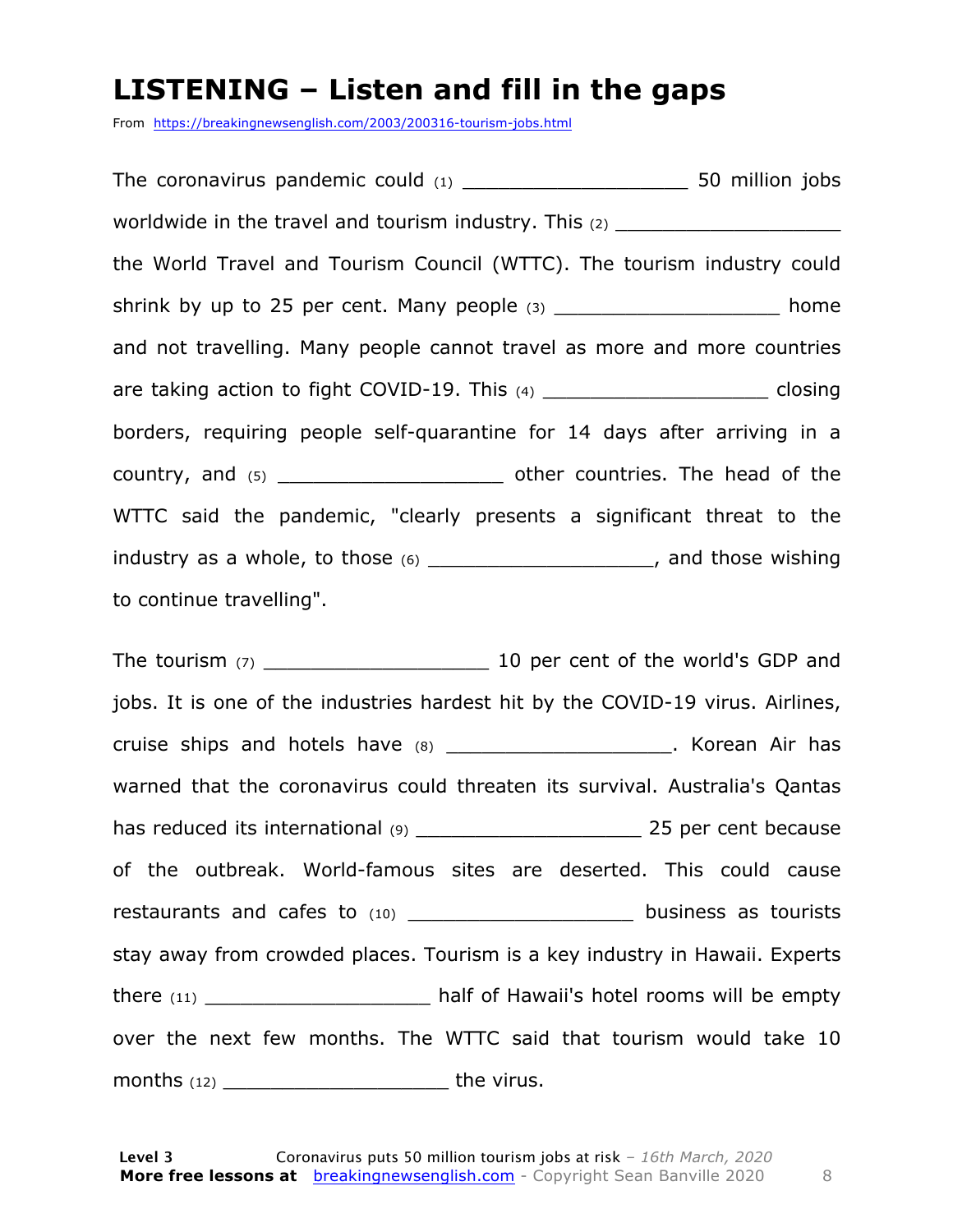#### **LISTENING – Listen and fill in the gaps**

From https://breakingnewsenglish.com/2003/200316-tourism-jobs.html

The coronavirus pandemic could (1) \_\_\_\_\_\_\_\_\_\_\_\_\_\_\_\_\_\_\_ 50 million jobs worldwide in the travel and tourism industry. This  $(2)$  \_\_\_\_\_\_\_\_\_\_\_\_\_\_\_\_\_\_\_\_\_\_\_\_ the World Travel and Tourism Council (WTTC). The tourism industry could shrink by up to 25 per cent. Many people (3) home and not travelling. Many people cannot travel as more and more countries are taking action to fight COVID-19. This  $(4)$  \_\_\_\_\_\_\_\_\_\_\_\_\_\_\_\_\_\_\_\_\_\_\_\_\_\_\_\_\_\_\_\_\_ closing borders, requiring people self-quarantine for 14 days after arriving in a country, and (5) \_\_\_\_\_\_\_\_\_\_\_\_\_\_\_\_\_\_\_\_\_\_\_\_\_\_\_ other countries. The head of the WTTC said the pandemic, "clearly presents a significant threat to the industry as a whole, to those  $(6)$  \_\_\_\_\_\_\_\_\_\_\_\_\_\_\_\_\_\_\_\_\_, and those wishing to continue travelling".

The tourism (7) \_\_\_\_\_\_\_\_\_\_\_\_\_\_\_\_\_\_\_ 10 per cent of the world's GDP and jobs. It is one of the industries hardest hit by the COVID-19 virus. Airlines, cruise ships and hotels have (8) cruise ships and hotels have (8) warned that the coronavirus could threaten its survival. Australia's Qantas has reduced its international (9) \_\_\_\_\_\_\_\_\_\_\_\_\_\_\_\_\_\_\_ 25 per cent because of the outbreak. World-famous sites are deserted. This could cause restaurants and cafes to (10) \_\_\_\_\_\_\_\_\_\_\_\_\_\_\_\_\_\_\_\_\_\_\_ business as tourists stay away from crowded places. Tourism is a key industry in Hawaii. Experts there (11) **there** (11) **half of Hawaii's hotel rooms will be empty** over the next few months. The WTTC said that tourism would take 10 months (12) \_\_\_\_\_\_\_\_\_\_\_\_\_\_\_\_\_\_\_\_\_\_\_\_\_\_\_\_\_the virus.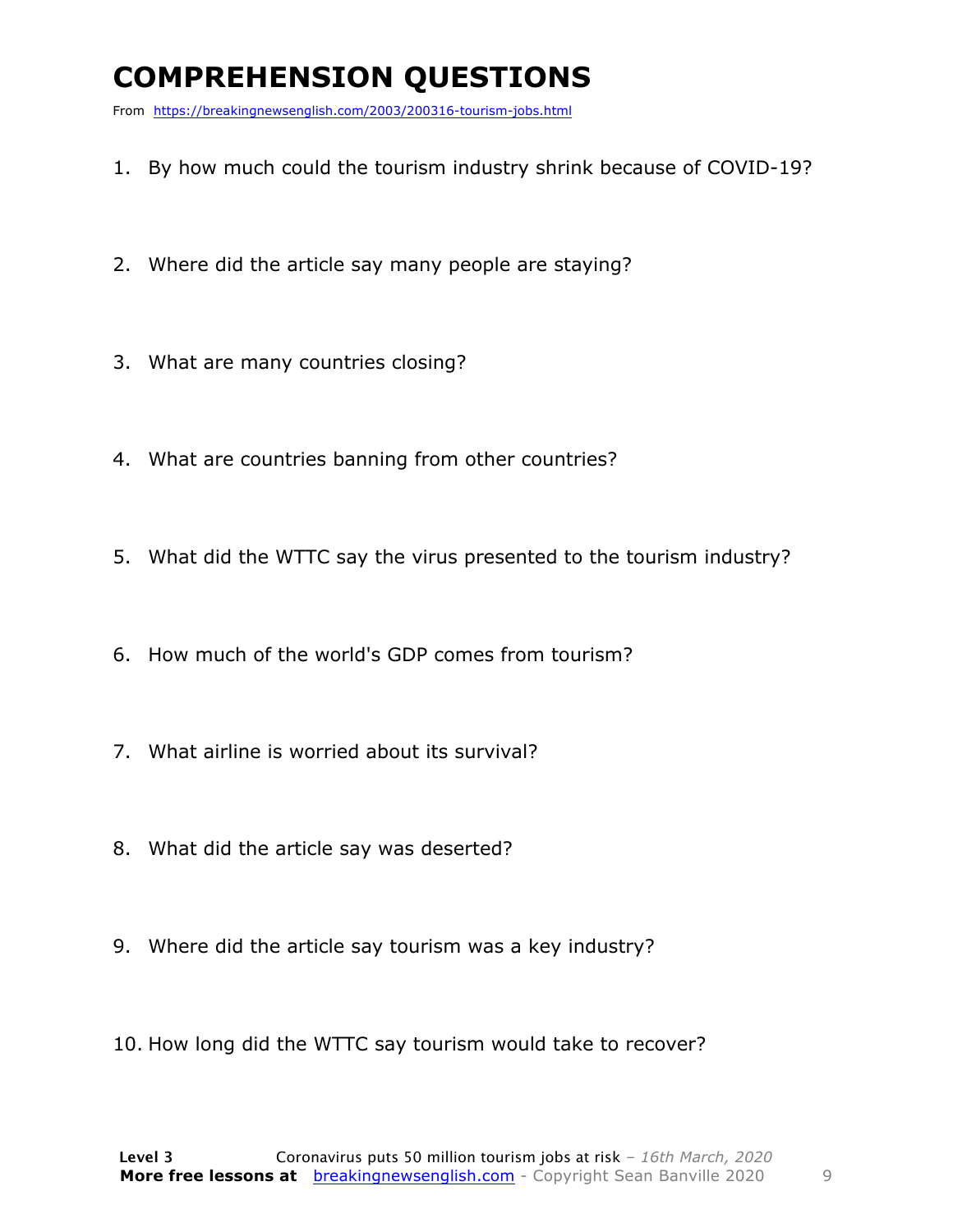### **COMPREHENSION QUESTIONS**

From https://breakingnewsenglish.com/2003/200316-tourism-jobs.html

- 1. By how much could the tourism industry shrink because of COVID-19?
- 2. Where did the article say many people are staying?
- 3. What are many countries closing?
- 4. What are countries banning from other countries?
- 5. What did the WTTC say the virus presented to the tourism industry?
- 6. How much of the world's GDP comes from tourism?
- 7. What airline is worried about its survival?
- 8. What did the article say was deserted?
- 9. Where did the article say tourism was a key industry?
- 10. How long did the WTTC say tourism would take to recover?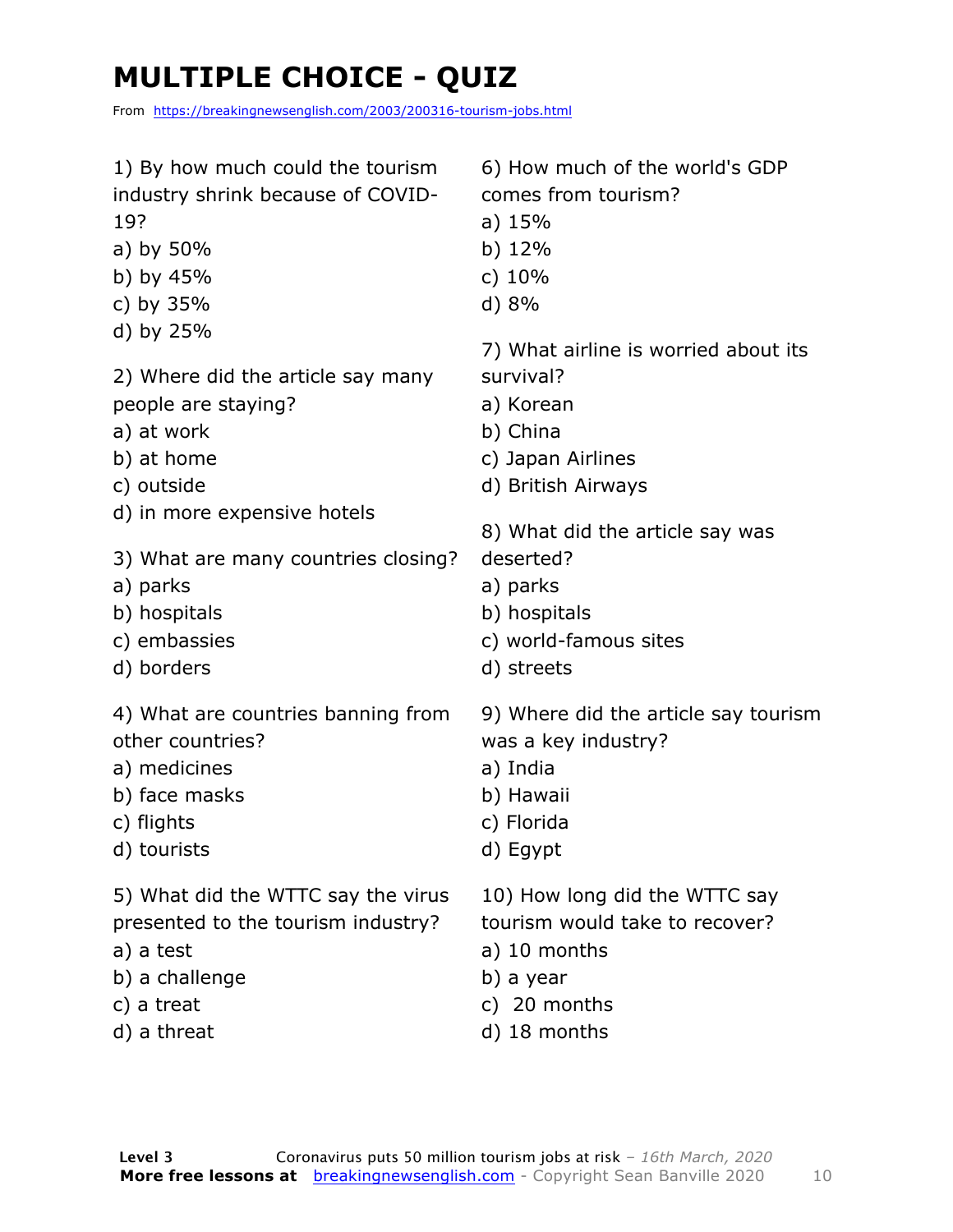### **MULTIPLE CHOICE - QUIZ**

From https://breakingnewsenglish.com/2003/200316-tourism-jobs.html

| 1) By how much could the tourism<br>industry shrink because of COVID-<br>19?<br>a) by 50%<br>b) by $45%$<br>c) by 35%<br>d) by 25% | 6) How much of the world's GDP<br>comes from tourism?<br>a) $15%$<br>b) $12%$<br>c) $10%$<br>d) 8%              |
|------------------------------------------------------------------------------------------------------------------------------------|-----------------------------------------------------------------------------------------------------------------|
| 2) Where did the article say many                                                                                                  | 7) What airline is worried about its                                                                            |
| people are staying?                                                                                                                | survival?                                                                                                       |
| a) at work                                                                                                                         | a) Korean                                                                                                       |
| b) at home                                                                                                                         | b) China                                                                                                        |
| c) outside                                                                                                                         | c) Japan Airlines                                                                                               |
| d) in more expensive hotels                                                                                                        | d) British Airways                                                                                              |
| 3) What are many countries closing?<br>a) parks<br>b) hospitals<br>c) embassies<br>d) borders                                      | 8) What did the article say was<br>deserted?<br>a) parks<br>b) hospitals<br>c) world-famous sites<br>d) streets |
| 4) What are countries banning from                                                                                                 | 9) Where did the article say tourism                                                                            |
| other countries?                                                                                                                   | was a key industry?                                                                                             |
| a) medicines                                                                                                                       | a) India                                                                                                        |
| b) face masks                                                                                                                      | b) Hawaii                                                                                                       |
| c) flights                                                                                                                         | c) Florida                                                                                                      |
| d) tourists                                                                                                                        | d) Egypt                                                                                                        |
| 5) What did the WTTC say the virus                                                                                                 | 10) How long did the WTTC say                                                                                   |
| presented to the tourism industry?                                                                                                 | tourism would take to recover?                                                                                  |
| a) a test                                                                                                                          | a) 10 months                                                                                                    |
| b) a challenge                                                                                                                     | b) a year                                                                                                       |
| c) a treat                                                                                                                         | c) 20 months                                                                                                    |
| d) a threat                                                                                                                        | d) 18 months                                                                                                    |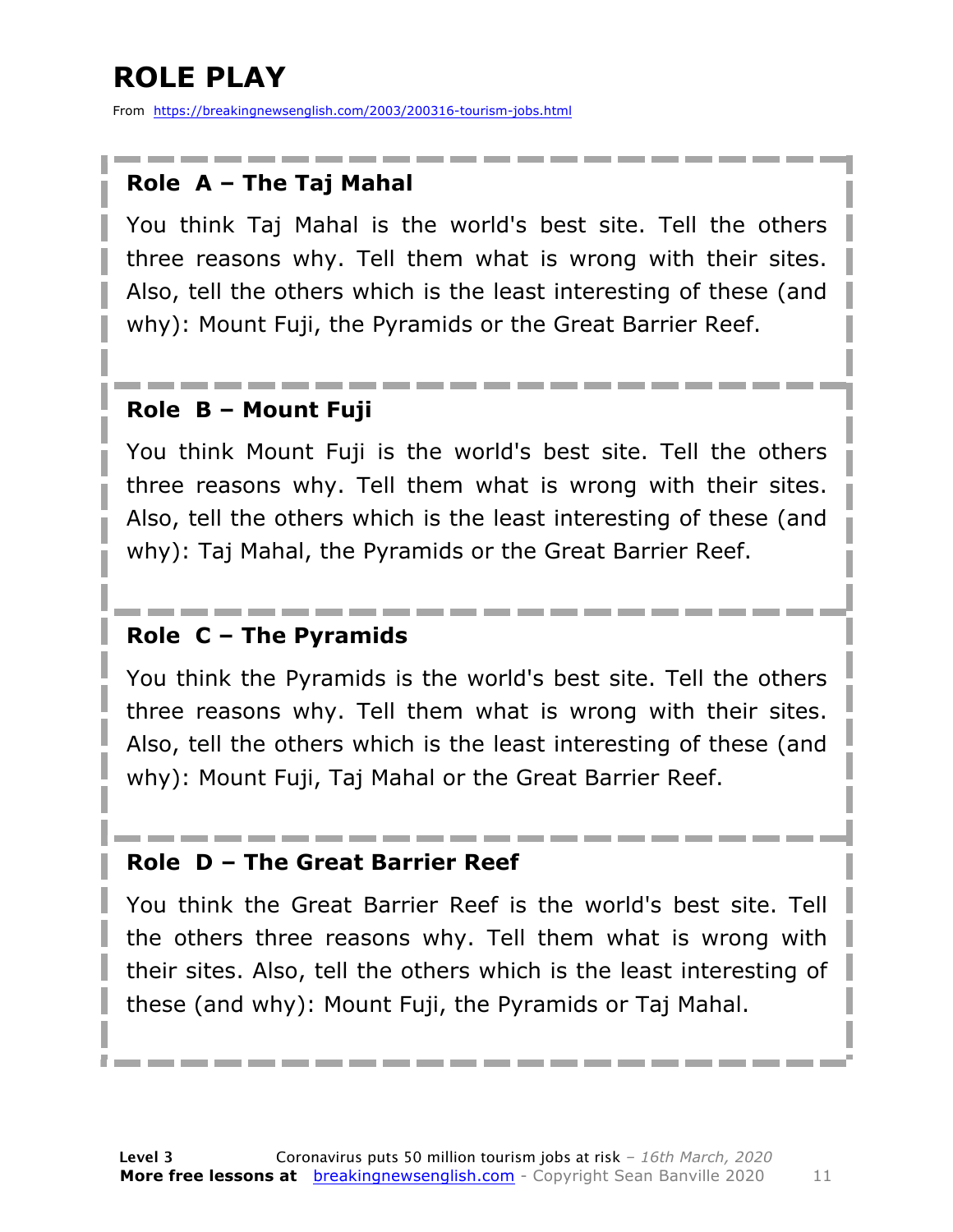### **ROLE PLAY**

From https://breakingnewsenglish.com/2003/200316-tourism-jobs.html

#### **Role A – The Taj Mahal**

You think Taj Mahal is the world's best site. Tell the others three reasons why. Tell them what is wrong with their sites. Also, tell the others which is the least interesting of these (and why): Mount Fuji, the Pyramids or the Great Barrier Reef.

#### **Role B – Mount Fuji**

You think Mount Fuji is the world's best site. Tell the others three reasons why. Tell them what is wrong with their sites. Also, tell the others which is the least interesting of these (and why): Taj Mahal, the Pyramids or the Great Barrier Reef.

#### **Role C – The Pyramids**

You think the Pyramids is the world's best site. Tell the others three reasons why. Tell them what is wrong with their sites. Also, tell the others which is the least interesting of these (and why): Mount Fuji, Taj Mahal or the Great Barrier Reef.

#### **Role D – The Great Barrier Reef**

You think the Great Barrier Reef is the world's best site. Tell the others three reasons why. Tell them what is wrong with their sites. Also, tell the others which is the least interesting of these (and why): Mount Fuji, the Pyramids or Taj Mahal.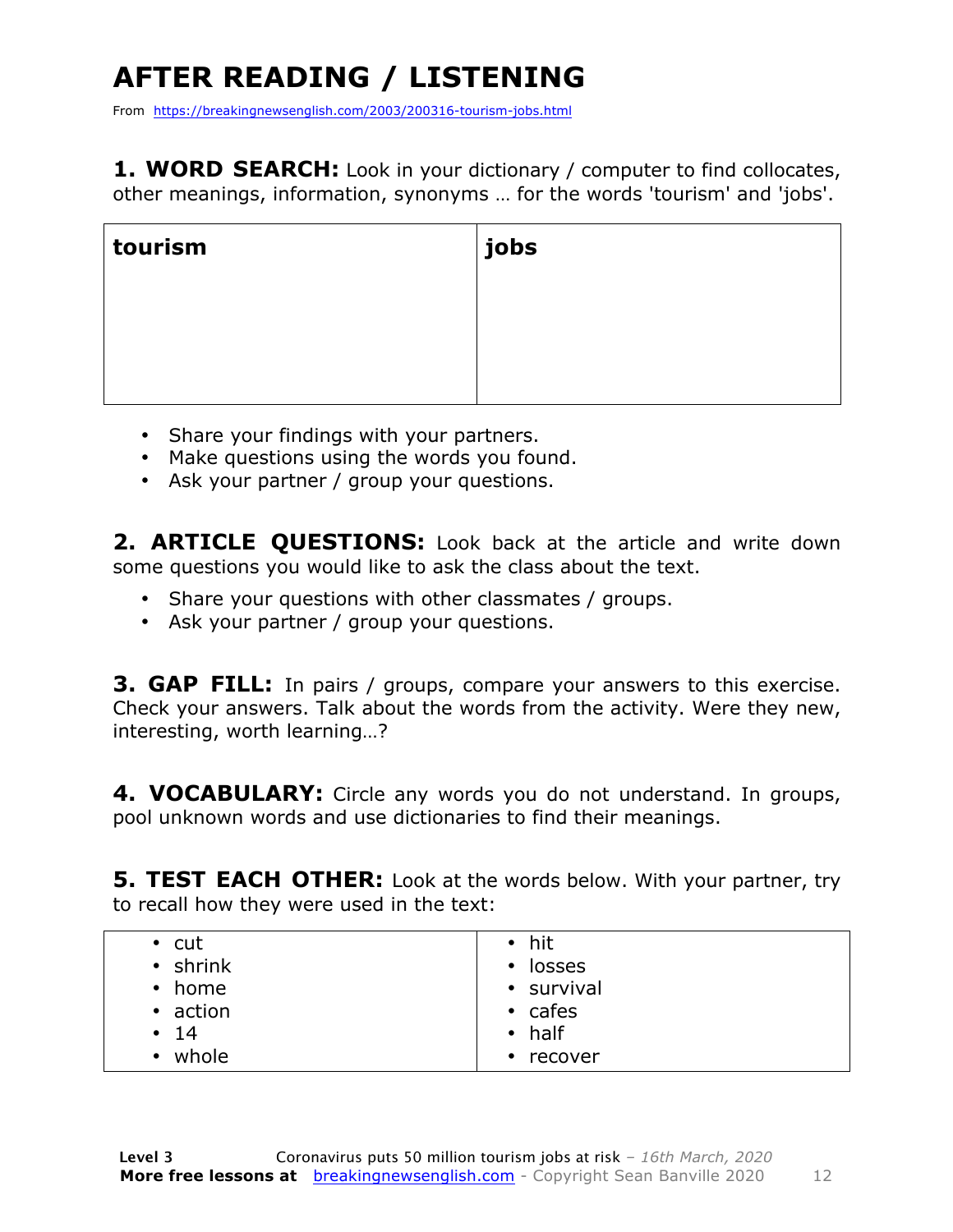## **AFTER READING / LISTENING**

From https://breakingnewsenglish.com/2003/200316-tourism-jobs.html

1. WORD SEARCH: Look in your dictionary / computer to find collocates, other meanings, information, synonyms … for the words 'tourism' and 'jobs'.

| tourism | jobs |
|---------|------|
|         |      |
|         |      |
|         |      |

- Share your findings with your partners.
- Make questions using the words you found.
- Ask your partner / group your questions.

**2. ARTICLE QUESTIONS:** Look back at the article and write down some questions you would like to ask the class about the text.

- Share your questions with other classmates / groups.
- Ask your partner / group your questions.

**3. GAP FILL:** In pairs / groups, compare your answers to this exercise. Check your answers. Talk about the words from the activity. Were they new, interesting, worth learning…?

**4. VOCABULARY:** Circle any words you do not understand. In groups, pool unknown words and use dictionaries to find their meanings.

**5. TEST EACH OTHER:** Look at the words below. With your partner, try to recall how they were used in the text:

| $\cdot$ cut<br>$\cdot$ shrink<br>• home<br>• action<br>$\cdot$ 14 | $\bullet$ hit<br>losses<br>$\bullet$<br>• survival<br>$\cdot$ cafes<br>$\bullet$ half |
|-------------------------------------------------------------------|---------------------------------------------------------------------------------------|
| whole<br>$\bullet$                                                | $\cdot$ recover                                                                       |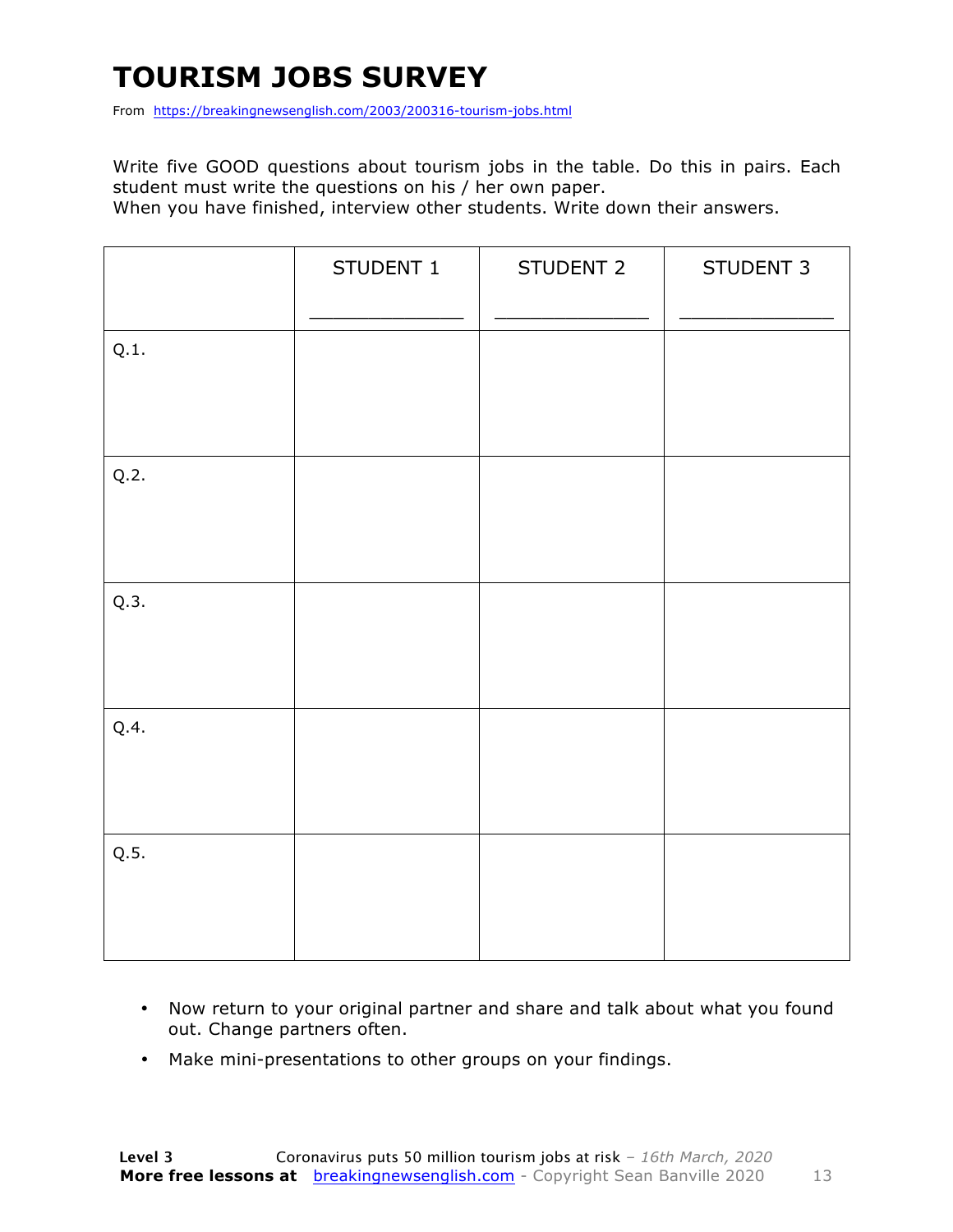### **TOURISM JOBS SURVEY**

From https://breakingnewsenglish.com/2003/200316-tourism-jobs.html

Write five GOOD questions about tourism jobs in the table. Do this in pairs. Each student must write the questions on his / her own paper.

When you have finished, interview other students. Write down their answers.

|      | STUDENT 1 | STUDENT 2 | STUDENT 3 |
|------|-----------|-----------|-----------|
| Q.1. |           |           |           |
| Q.2. |           |           |           |
| Q.3. |           |           |           |
| Q.4. |           |           |           |
| Q.5. |           |           |           |

- Now return to your original partner and share and talk about what you found out. Change partners often.
- Make mini-presentations to other groups on your findings.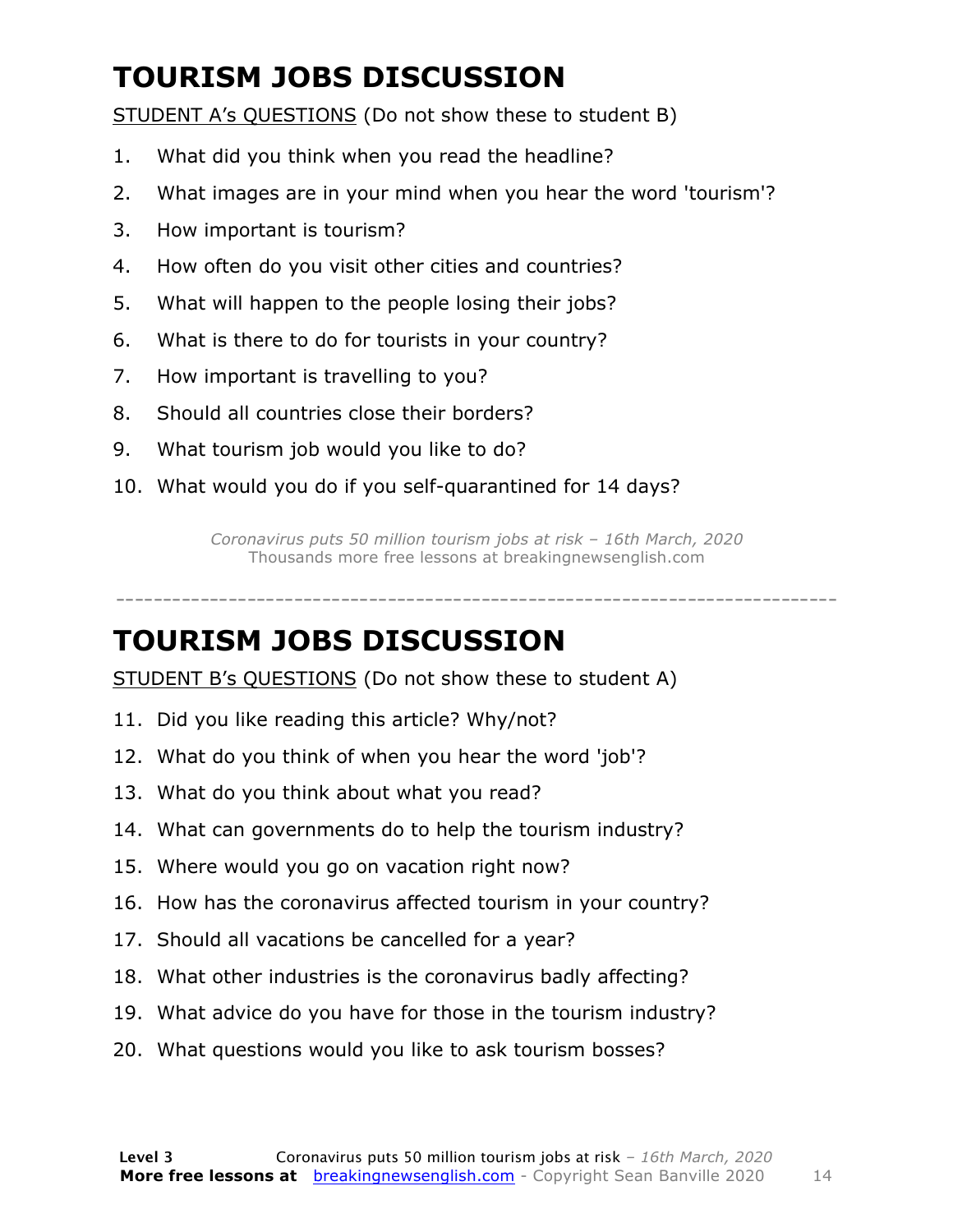### **TOURISM JOBS DISCUSSION**

STUDENT A's QUESTIONS (Do not show these to student B)

- 1. What did you think when you read the headline?
- 2. What images are in your mind when you hear the word 'tourism'?
- 3. How important is tourism?
- 4. How often do you visit other cities and countries?
- 5. What will happen to the people losing their jobs?
- 6. What is there to do for tourists in your country?
- 7. How important is travelling to you?
- 8. Should all countries close their borders?
- 9. What tourism job would you like to do?
- 10. What would you do if you self-quarantined for 14 days?

*Coronavirus puts 50 million tourism jobs at risk – 16th March, 2020* Thousands more free lessons at breakingnewsenglish.com

-----------------------------------------------------------------------------

#### **TOURISM JOBS DISCUSSION**

STUDENT B's QUESTIONS (Do not show these to student A)

- 11. Did you like reading this article? Why/not?
- 12. What do you think of when you hear the word 'job'?
- 13. What do you think about what you read?
- 14. What can governments do to help the tourism industry?
- 15. Where would you go on vacation right now?
- 16. How has the coronavirus affected tourism in your country?
- 17. Should all vacations be cancelled for a year?
- 18. What other industries is the coronavirus badly affecting?
- 19. What advice do you have for those in the tourism industry?
- 20. What questions would you like to ask tourism bosses?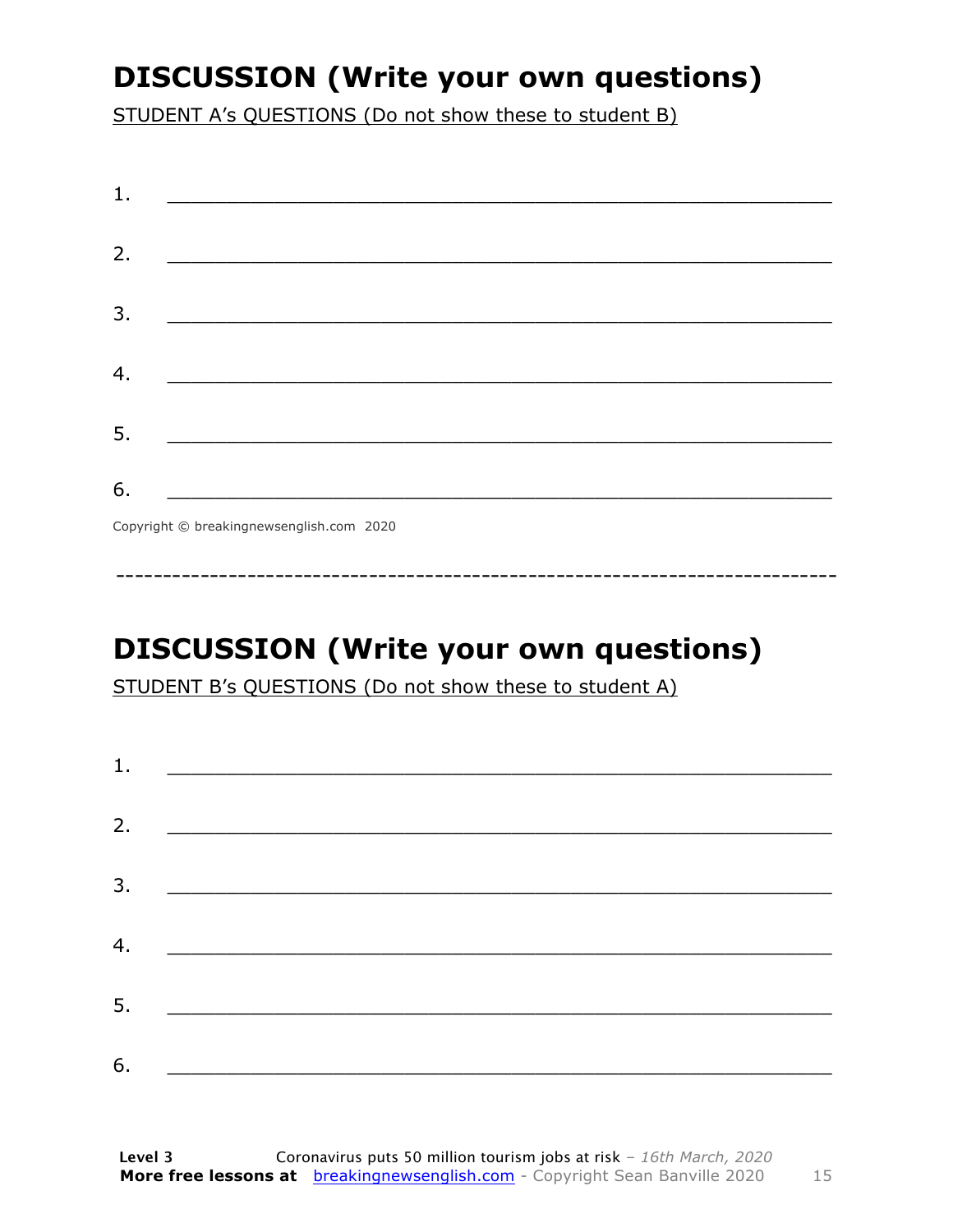### **DISCUSSION (Write your own questions)**

STUDENT A's QUESTIONS (Do not show these to student B)

| 1. | <u> 1989 - Johann Harry Harry Harry Harry Harry Harry Harry Harry Harry Harry Harry Harry Harry Harry Harry Harry</u> |  |  |
|----|-----------------------------------------------------------------------------------------------------------------------|--|--|
|    |                                                                                                                       |  |  |
| 2. |                                                                                                                       |  |  |
| 3. |                                                                                                                       |  |  |
|    |                                                                                                                       |  |  |
| 4. | <u> 1989 - Johann John Stone, mars eta biztanleria (h. 1989).</u>                                                     |  |  |
| 5. |                                                                                                                       |  |  |
|    |                                                                                                                       |  |  |
| 6. |                                                                                                                       |  |  |
|    |                                                                                                                       |  |  |

Copyright © breakingnewsenglish.com 2020

### **DISCUSSION (Write your own questions)**

STUDENT B's QUESTIONS (Do not show these to student A)

| 1. |                                                                                                                                                                                                                                      |  |  |
|----|--------------------------------------------------------------------------------------------------------------------------------------------------------------------------------------------------------------------------------------|--|--|
| 2. |                                                                                                                                                                                                                                      |  |  |
|    |                                                                                                                                                                                                                                      |  |  |
|    |                                                                                                                                                                                                                                      |  |  |
| 4. | <u> 1980 - Jan Stein Stein, fransk politik amerikansk politik (</u>                                                                                                                                                                  |  |  |
| 5. | <u> 1980 - Jan Stein Stein, fransk politik amerikansk politik (</u>                                                                                                                                                                  |  |  |
| 6. | <u> 1980 - Johann Stoff, deutscher Stoffen und der Stoffen und der Stoffen und der Stoffen und der Stoffen und der Stoffen und der Stoffen und der Stoffen und der Stoffen und der Stoffen und der Stoffen und der Stoffen und d</u> |  |  |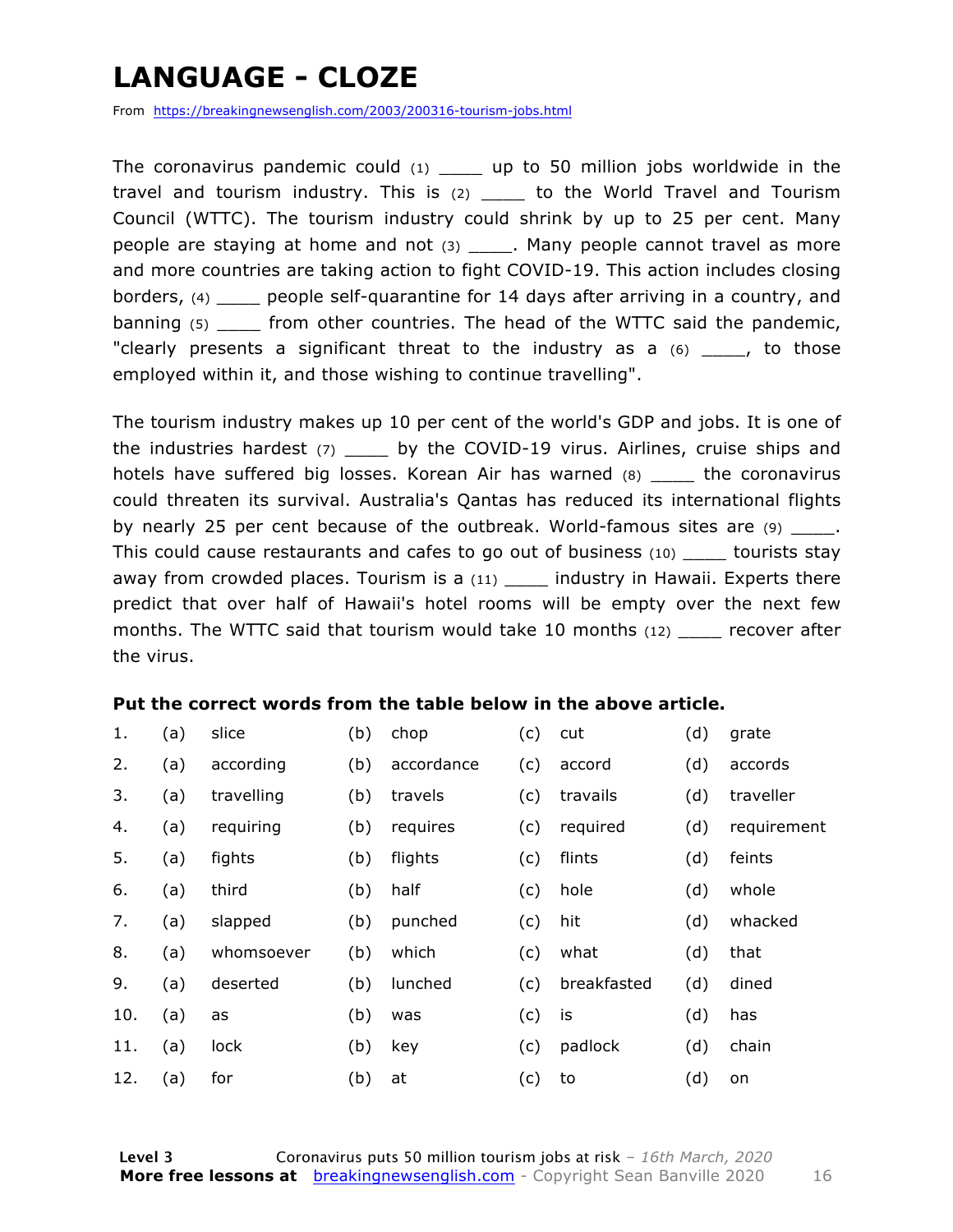### **LANGUAGE - CLOZE**

From https://breakingnewsenglish.com/2003/200316-tourism-jobs.html

The coronavirus pandemic could  $(1)$  up to 50 million jobs worldwide in the travel and tourism industry. This is (2) \_\_\_\_ to the World Travel and Tourism Council (WTTC). The tourism industry could shrink by up to 25 per cent. Many people are staying at home and not (3) \_\_\_\_. Many people cannot travel as more and more countries are taking action to fight COVID-19. This action includes closing borders, (4) \_\_\_\_ people self-quarantine for 14 days after arriving in a country, and banning (5) \_\_\_\_ from other countries. The head of the WTTC said the pandemic, "clearly presents a significant threat to the industry as a  $(6)$  \_\_\_, to those employed within it, and those wishing to continue travelling".

The tourism industry makes up 10 per cent of the world's GDP and jobs. It is one of the industries hardest (7) \_\_\_\_\_ by the COVID-19 virus. Airlines, cruise ships and hotels have suffered big losses. Korean Air has warned (8) \_\_\_\_ the coronavirus could threaten its survival. Australia's Qantas has reduced its international flights by nearly 25 per cent because of the outbreak. World-famous sites are (9) \_\_\_\_\_. This could cause restaurants and cafes to go out of business (10) \_\_\_\_ tourists stay away from crowded places. Tourism is a  $(11)$  \_\_\_\_ industry in Hawaii. Experts there predict that over half of Hawaii's hotel rooms will be empty over the next few months. The WTTC said that tourism would take 10 months (12) \_\_\_\_\_ recover after the virus.

#### **Put the correct words from the table below in the above article.**

| 1.  | (a) | slice      | (b) | chop       | (c) | cut         | (d) | grate       |
|-----|-----|------------|-----|------------|-----|-------------|-----|-------------|
| 2.  | (a) | according  | (b) | accordance | (c) | accord      | (d) | accords     |
| 3.  | (a) | travelling | (b) | travels    | (c) | travails    | (d) | traveller   |
| 4.  | (a) | requiring  | (b) | requires   | (c) | required    | (d) | requirement |
| 5.  | (a) | fights     | (b) | flights    | (c) | flints      | (d) | feints      |
| 6.  | (a) | third      | (b) | half       | (c) | hole        | (d) | whole       |
| 7.  | (a) | slapped    | (b) | punched    | (c) | hit         | (d) | whacked     |
| 8.  | (a) | whomsoever | (b) | which      | (c) | what        | (d) | that        |
| 9.  | (a) | deserted   | (b) | lunched    | (c) | breakfasted | (d) | dined       |
| 10. | (a) | as         | (b) | was        | (c) | is          | (d) | has         |
| 11. | (a) | lock       | (b) | key        | (c) | padlock     | (d) | chain       |
| 12. | (a) | for        | (b) | at         | (c) | to          | (d) | on          |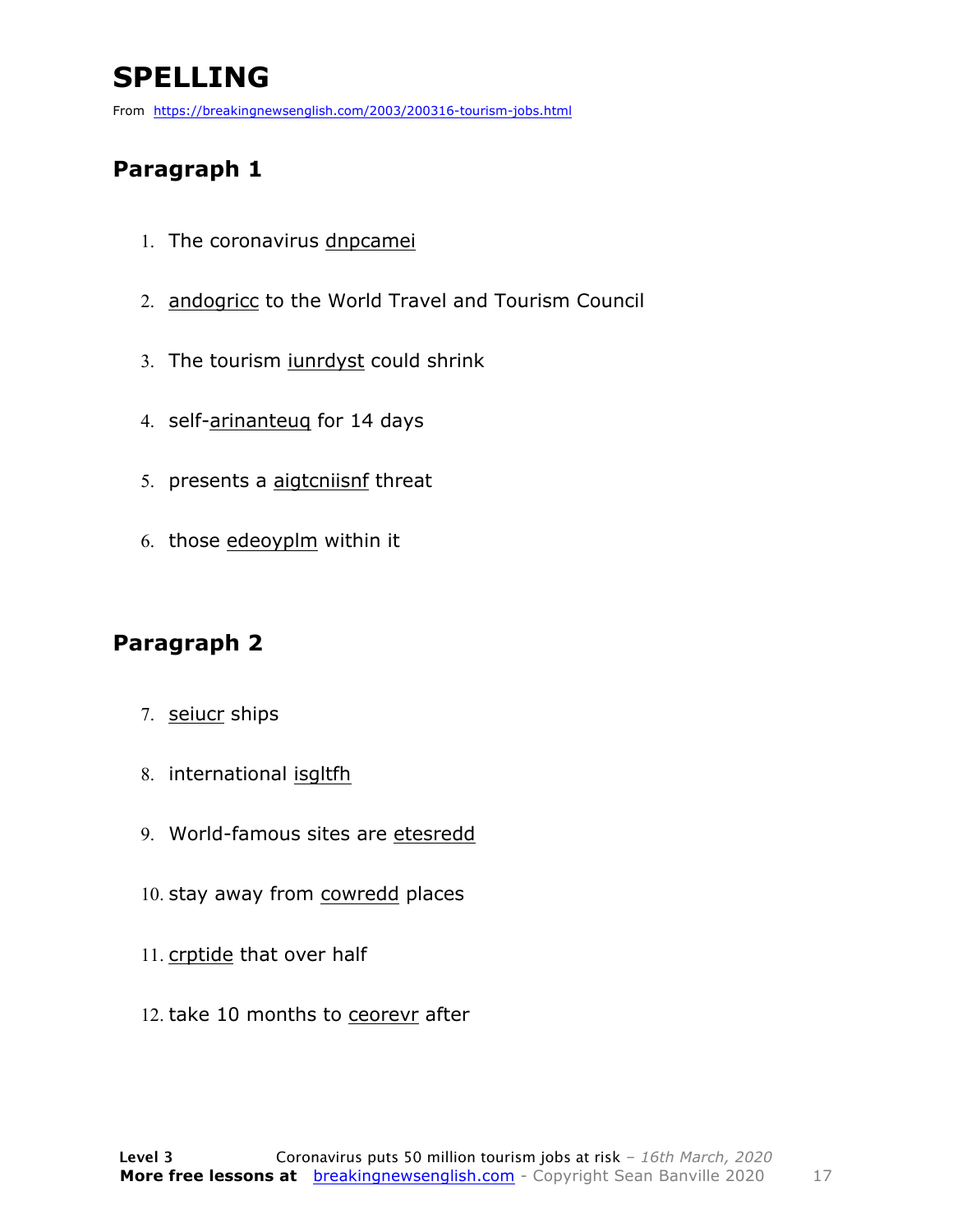### **SPELLING**

From https://breakingnewsenglish.com/2003/200316-tourism-jobs.html

#### **Paragraph 1**

- 1. The coronavirus dnpcamei
- 2. andogricc to the World Travel and Tourism Council
- 3. The tourism iunrdyst could shrink
- 4. self-arinanteuq for 14 days
- 5. presents a aigtcniisnf threat
- 6. those edeoyplm within it

#### **Paragraph 2**

- 7. seiucr ships
- 8. international isgltfh
- 9. World-famous sites are etesredd
- 10. stay away from cowredd places
- 11. crptide that over half
- 12. take 10 months to ceorevr after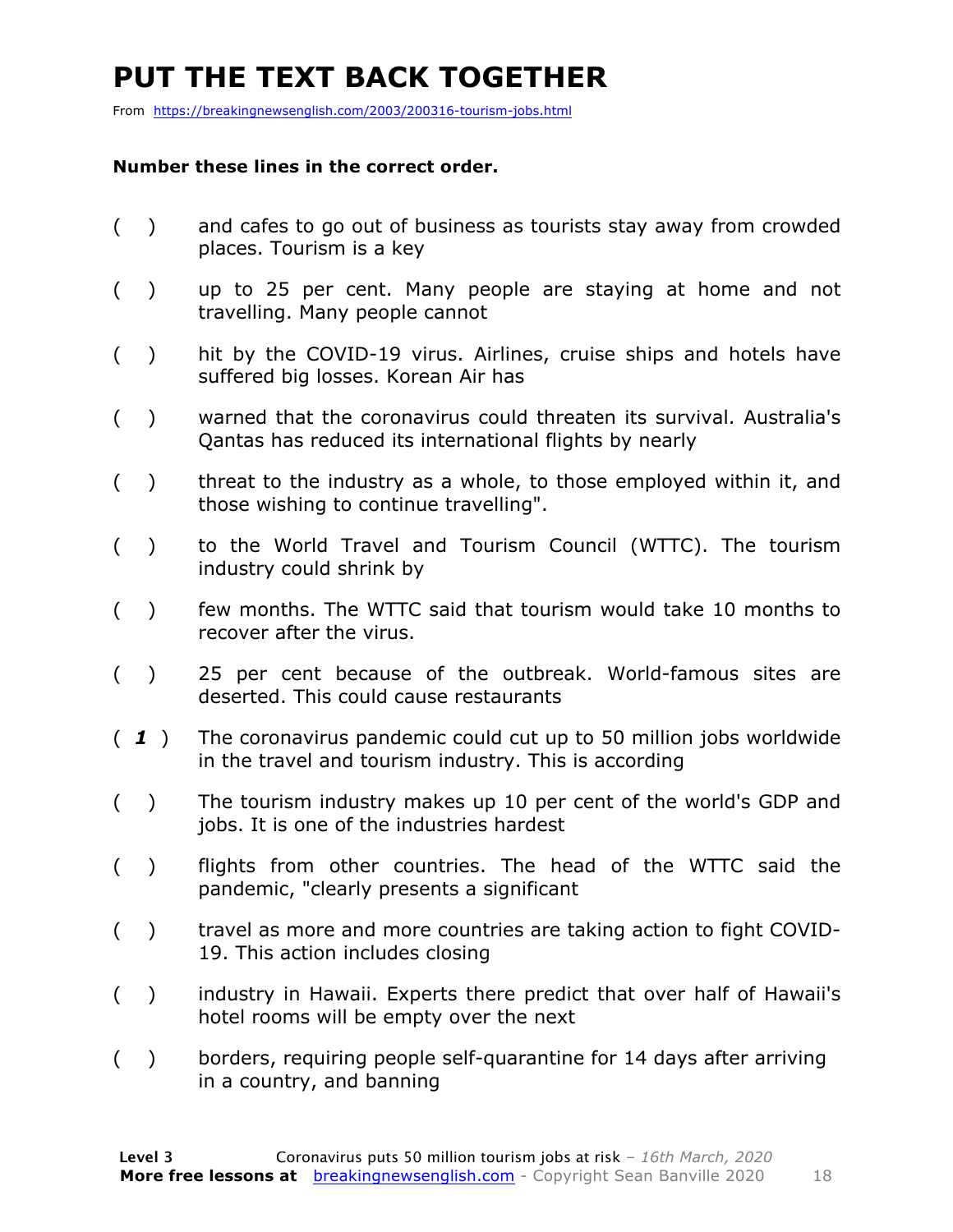### **PUT THE TEXT BACK TOGETHER**

From https://breakingnewsenglish.com/2003/200316-tourism-jobs.html

#### **Number these lines in the correct order.**

- ( ) and cafes to go out of business as tourists stay away from crowded places. Tourism is a key
- ( ) up to 25 per cent. Many people are staying at home and not travelling. Many people cannot
- ( ) hit by the COVID-19 virus. Airlines, cruise ships and hotels have suffered big losses. Korean Air has
- ( ) warned that the coronavirus could threaten its survival. Australia's Qantas has reduced its international flights by nearly
- $($ ) threat to the industry as a whole, to those employed within it, and those wishing to continue travelling".
- ( ) to the World Travel and Tourism Council (WTTC). The tourism industry could shrink by
- ( ) few months. The WTTC said that tourism would take 10 months to recover after the virus.
- ( ) 25 per cent because of the outbreak. World-famous sites are deserted. This could cause restaurants
- ( *1* ) The coronavirus pandemic could cut up to 50 million jobs worldwide in the travel and tourism industry. This is according
- ( ) The tourism industry makes up 10 per cent of the world's GDP and jobs. It is one of the industries hardest
- ( ) flights from other countries. The head of the WTTC said the pandemic, "clearly presents a significant
- ( ) travel as more and more countries are taking action to fight COVID-19. This action includes closing
- ( ) industry in Hawaii. Experts there predict that over half of Hawaii's hotel rooms will be empty over the next
- ( ) borders, requiring people self-quarantine for 14 days after arriving in a country, and banning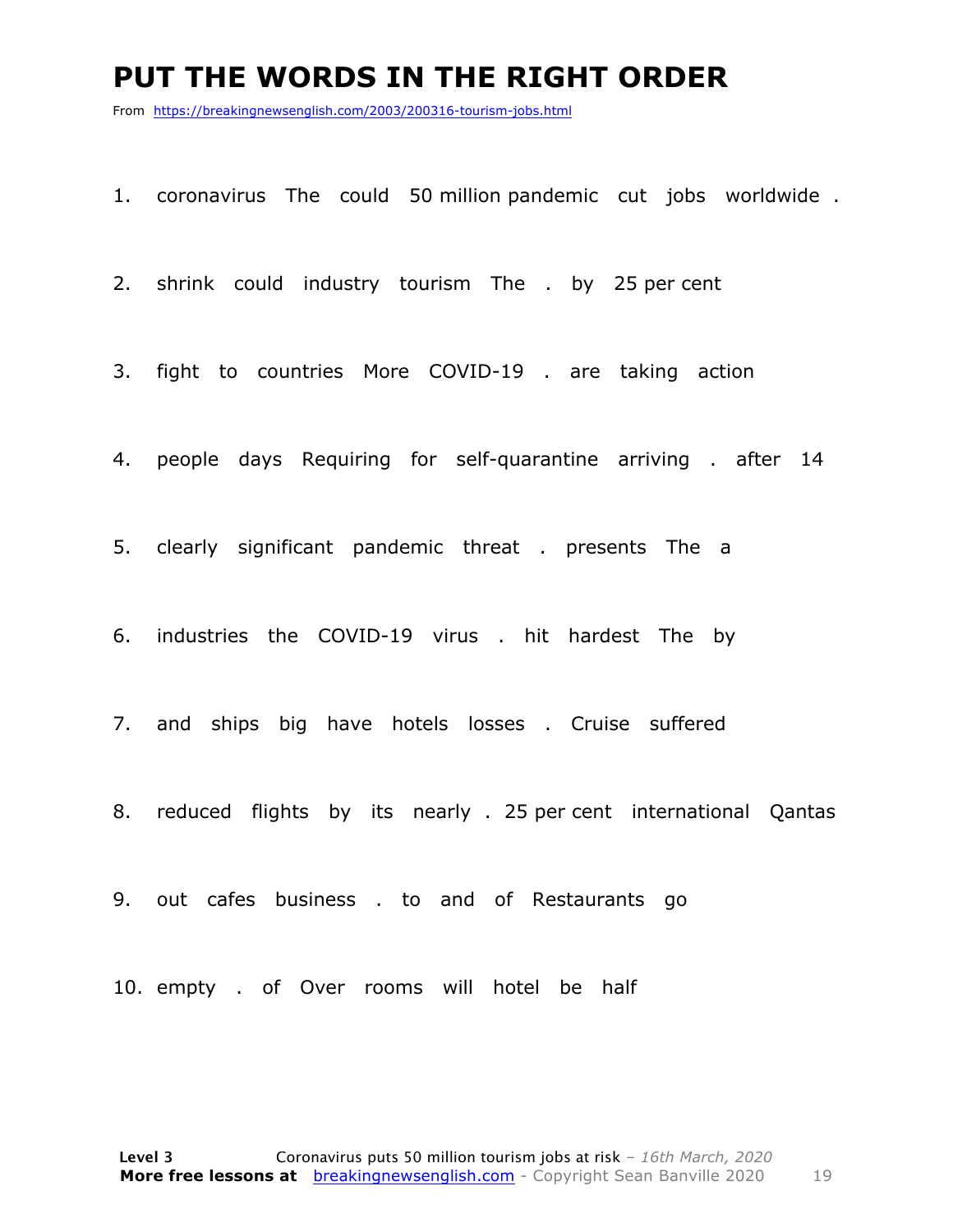#### **PUT THE WORDS IN THE RIGHT ORDER**

From https://breakingnewsenglish.com/2003/200316-tourism-jobs.html

1. coronavirus The could 50 million pandemic cut jobs worldwide .

2. shrink could industry tourism The . by 25 per cent

3. fight to countries More COVID-19 . are taking action

4. people days Requiring for self-quarantine arriving . after 14

5. clearly significant pandemic threat . presents The a

6. industries the COVID-19 virus . hit hardest The by

7. and ships big have hotels losses . Cruise suffered

8. reduced flights by its nearly . 25 per cent international Qantas

9. out cafes business . to and of Restaurants go

10. empty . of Over rooms will hotel be half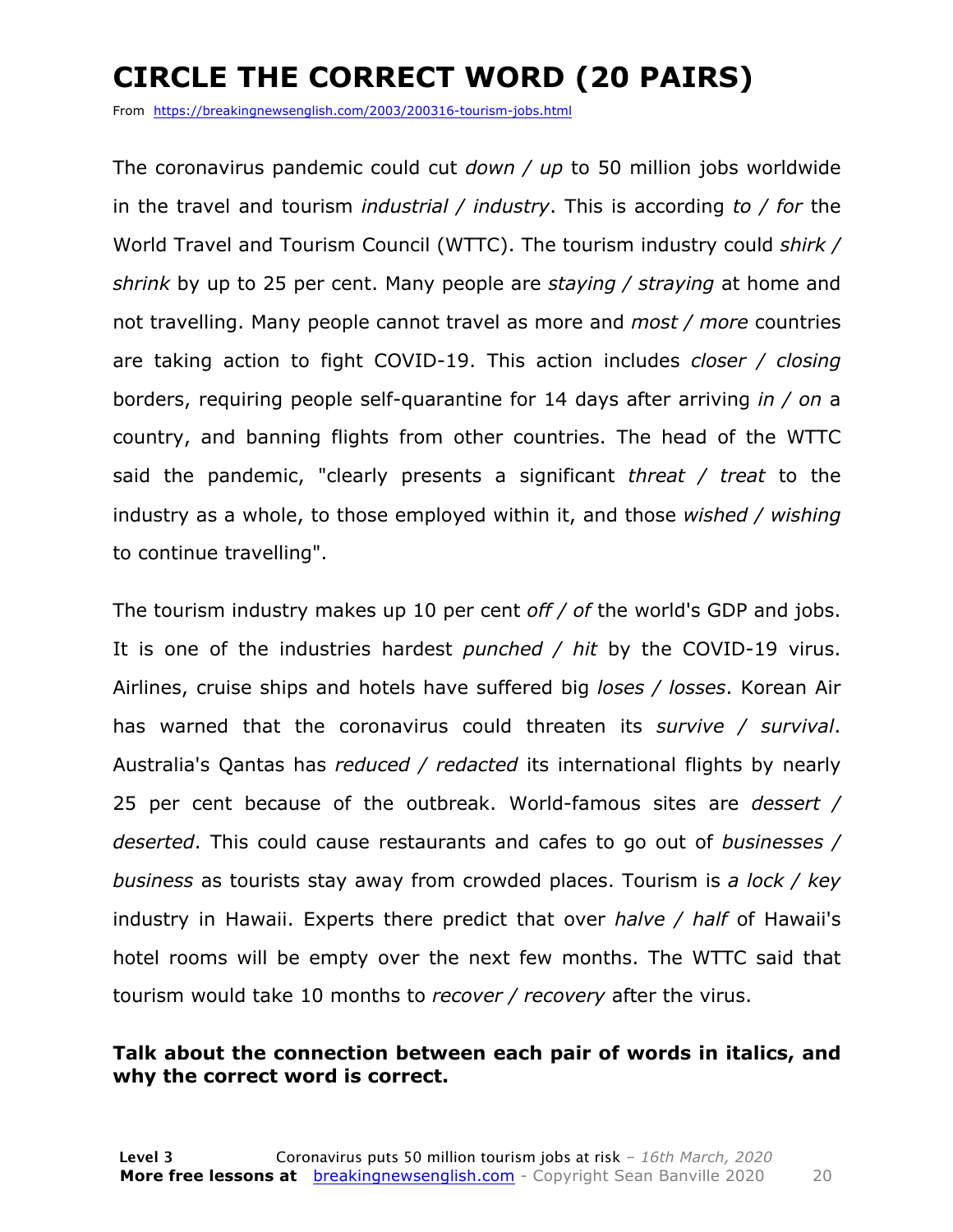### **CIRCLE THE CORRECT WORD (20 PAIRS)**

From https://breakingnewsenglish.com/2003/200316-tourism-jobs.html

The coronavirus pandemic could cut *down / up* to 50 million jobs worldwide in the travel and tourism *industrial / industry*. This is according *to / for* the World Travel and Tourism Council (WTTC). The tourism industry could *shirk / shrink* by up to 25 per cent. Many people are *staying / straying* at home and not travelling. Many people cannot travel as more and *most / more* countries are taking action to fight COVID-19. This action includes *closer / closing* borders, requiring people self-quarantine for 14 days after arriving *in / on* a country, and banning flights from other countries. The head of the WTTC said the pandemic, "clearly presents a significant *threat / treat* to the industry as a whole, to those employed within it, and those *wished / wishing* to continue travelling".

The tourism industry makes up 10 per cent *off / of* the world's GDP and jobs. It is one of the industries hardest *punched / hit* by the COVID-19 virus. Airlines, cruise ships and hotels have suffered big *loses / losses*. Korean Air has warned that the coronavirus could threaten its *survive / survival*. Australia's Qantas has *reduced / redacted* its international flights by nearly 25 per cent because of the outbreak. World-famous sites are *dessert / deserted*. This could cause restaurants and cafes to go out of *businesses / business* as tourists stay away from crowded places. Tourism is *a lock / key* industry in Hawaii. Experts there predict that over *halve / half* of Hawaii's hotel rooms will be empty over the next few months. The WTTC said that tourism would take 10 months to *recover / recovery* after the virus.

#### **Talk about the connection between each pair of words in italics, and why the correct word is correct.**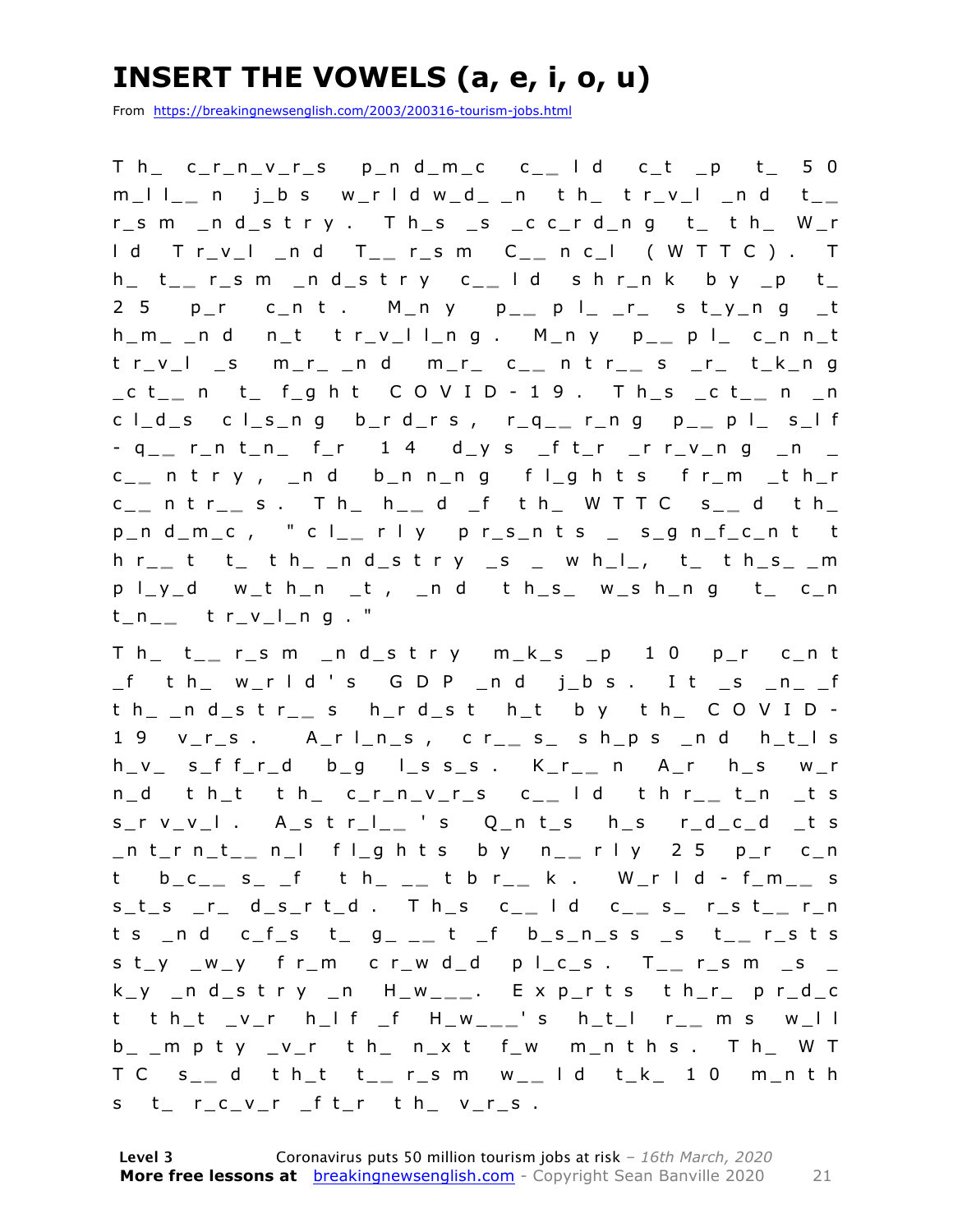### **INSERT THE VOWELS (a, e, i, o, u)**

From https://breakingnewsenglish.com/2003/200316-tourism-jobs.html

T h\_ c\_r\_n\_v\_r\_s p\_n d\_m\_c c\_ **\_** l d c\_t \_p t\_ 5 0 m\_l l\_ **\_** n j\_b s w\_r l d w\_d\_ \_n t h\_ t r\_v\_l \_n d t\_ **\_**  r\_s m \_n d\_s t r y . T h\_s \_s \_c c\_r d\_n g t\_ t h\_ W\_r l d T r\_v\_l \_n d T\_ **\_** r\_s m C \_ **\_** n c\_l ( W T T C ) . T h\_ t\_ **\_** r\_s m \_n d\_s t r y c\_ **\_** l d s h r\_n k b y \_p t\_ 2 5 p\_r c\_n t . M\_n y p\_ **\_** p l\_ \_r\_ s t\_y\_n g \_t h\_m\_ \_n d n\_t t r\_v\_l l\_n g . M\_n y p\_ **\_** p l\_ c\_n n\_t t r\_v\_l \_s m\_r\_ \_n d m\_r\_ c\_ **\_** n t r\_ **\_** s \_r\_ t\_k\_n g \_c t\_ **\_** n t\_ f\_g h t C O V I D - 1 9 . T h\_s \_c t\_ **\_** n \_n c l\_d\_s c l\_s\_n g b\_r d\_r s , r\_q\_ **\_** r\_n g p\_ **\_** p l\_ s\_l f - q\_\_ r\_n t\_n\_ f\_r 1 4 d\_y s \_f t\_r \_r r\_v\_n g \_n \_ c \_ **\_** n t r y , \_n d b\_n n\_n g f l\_ g h t s f r\_m \_t h\_r c \_ **\_** n t r\_ **\_** s . T h\_ h\_ **\_** d \_f t h\_ W T T C s\_ **\_** d t h\_ p\_n d\_m\_c , " c l\_ **\_** r l y p r\_s\_n t s \_ s\_g n\_f\_c\_n t t h r\_ **\_** t t\_ t h\_ \_n d\_s t r y \_s \_ w h\_l\_, t\_ t h\_s\_ \_m  $p \mid y_d$  w\_t h\_n \_t , \_n d t h\_s\_ w\_s h\_n g t\_ c\_n  $t_{n-}$   $t_{r-v_{-}}$   $t_{r-v_{-}}$ 

T h\_ t\_ **\_** r\_s m \_n d\_s t r y m\_k\_s \_p 1 0 p\_r c\_n t  $_f$  th  $w_r$  ld's GDP  $_n$  d j  $_{b}$ s. It  $_{s}$   $_{n}$   $_{f}$ t h\_ \_n d\_s t r\_ **\_** s h\_r d\_s t h\_t b y t h\_ C O V I D - 1 9 v\_r\_s . A\_r l\_n\_s , c r\_ **\_** s\_ s h\_p s \_n d h\_t\_l s h\_v\_ s\_f f\_r\_d b\_g l\_s s\_s . K\_r\_ **\_** n A\_r h\_s w\_r n\_d t h\_t t h\_ c\_r\_n\_v\_r\_s c\_ **\_** l d t h r\_ **\_** t\_n \_t s s\_r v\_v\_l . A\_s t r\_l\_ **\_** ' s Q\_n t\_s h\_s r\_d\_c\_d \_t s \_n t\_r n\_t\_ **\_** n\_l f l\_g h t s b y n\_ **\_** r l y 2 5 p\_r c\_n t b\_c\_ **\_** s\_ \_f t h\_ \_ **\_** t b r\_ **\_** k . W\_r l d - f\_m\_ **\_** s s\_t\_s \_r\_ d\_s\_r t\_d . T h\_s c\_ **\_** l d c\_ **\_** s\_ r\_s t\_ **\_** r\_n t s \_n d c\_f\_s t\_ g\_ \_ **\_** t \_f b\_s\_n\_s s \_s t\_ **\_** r\_s t s s t\_y \_w \_y f r\_m c r\_w d\_d p l\_c\_s . T\_ **\_** r\_s m \_s \_ k\_y \_n d\_s t r y \_n H\_w\_ **\_ \_** . E x p\_r t s t h\_r\_ p r\_d\_c t t h\_t \_v\_r h\_l f \_f H\_w\_ **\_ \_** ' s h\_t\_l r\_ **\_** m s w\_l l  $b_$   $_m$  p t y  $_v$ r t h  $_n$ x t f  $_w$  m n t h s . T h  $_w$  W T T C s \_ **\_** d t h\_t t\_ **\_** r\_s m w\_ **\_** l d t\_k\_ 1 0 m\_n t h s t\_ r\_c\_v\_r \_f t\_r t h\_ v\_r\_s .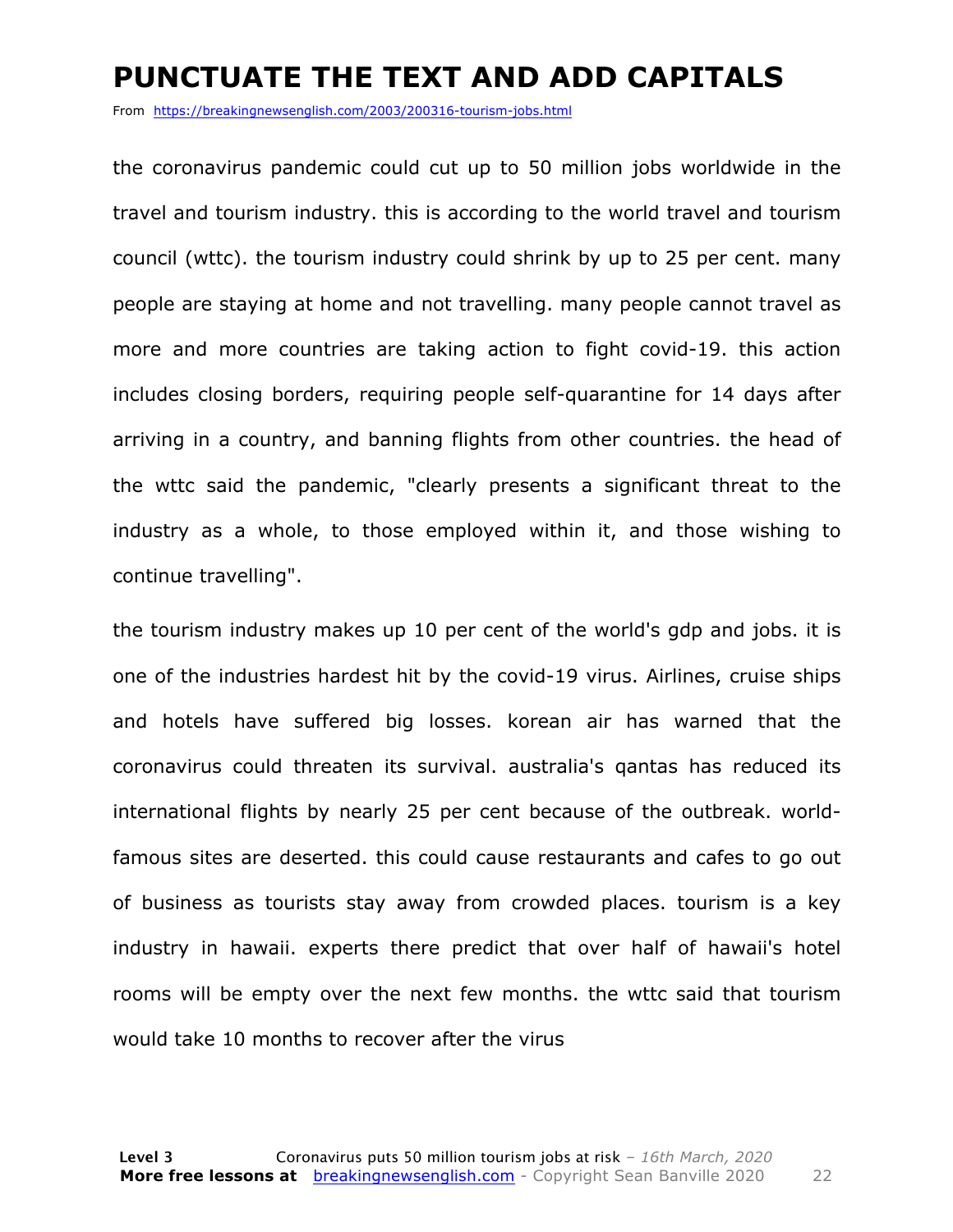#### **PUNCTUATE THE TEXT AND ADD CAPITALS**

From https://breakingnewsenglish.com/2003/200316-tourism-jobs.html

the coronavirus pandemic could cut up to 50 million jobs worldwide in the travel and tourism industry. this is according to the world travel and tourism council (wttc). the tourism industry could shrink by up to 25 per cent. many people are staying at home and not travelling. many people cannot travel as more and more countries are taking action to fight covid-19. this action includes closing borders, requiring people self-quarantine for 14 days after arriving in a country, and banning flights from other countries. the head of the wttc said the pandemic, "clearly presents a significant threat to the industry as a whole, to those employed within it, and those wishing to continue travelling".

the tourism industry makes up 10 per cent of the world's gdp and jobs. it is one of the industries hardest hit by the covid-19 virus. Airlines, cruise ships and hotels have suffered big losses. korean air has warned that the coronavirus could threaten its survival. australia's qantas has reduced its international flights by nearly 25 per cent because of the outbreak. worldfamous sites are deserted. this could cause restaurants and cafes to go out of business as tourists stay away from crowded places. tourism is a key industry in hawaii. experts there predict that over half of hawaii's hotel rooms will be empty over the next few months. the wttc said that tourism would take 10 months to recover after the virus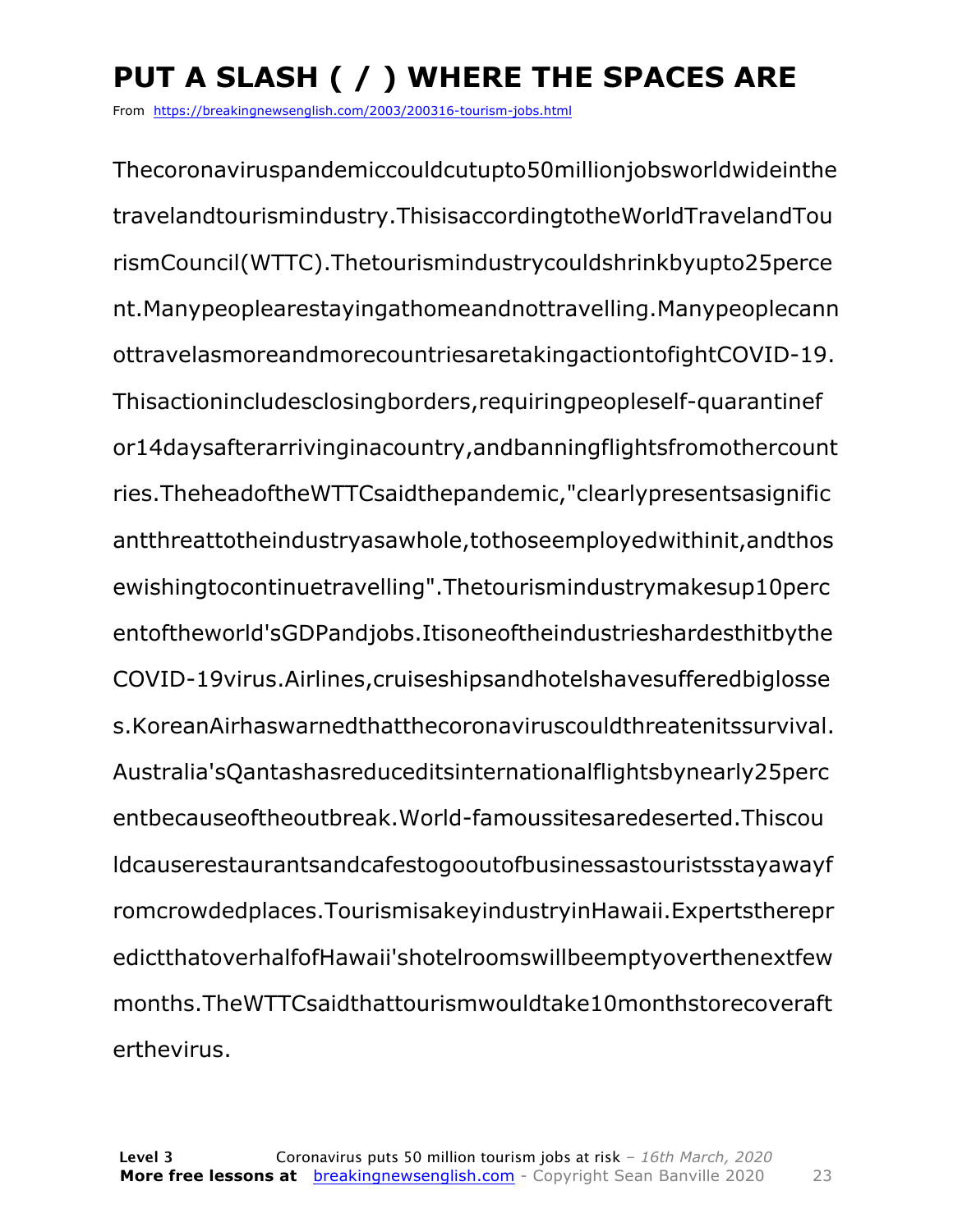### **PUT A SLASH ( / ) WHERE THE SPACES ARE**

From https://breakingnewsenglish.com/2003/200316-tourism-jobs.html

Thecoronaviruspandemiccouldcutupto50millionjobsworldwideinthe travelandtourismindustry.ThisisaccordingtotheWorldTravelandTou rismCouncil(WTTC).Thetourismindustrycouldshrinkbyupto25perce nt.Manypeoplearestayingathomeandnottravelling.Manypeoplecann ottravelasmoreandmorecountriesaretakingactiontofightCOVID-19. Thisactionincludesclosingborders,requiringpeopleself-quarantinef or14daysafterarrivinginacountry,andbanningflightsfromothercount ries.TheheadoftheWTTCsaidthepandemic,"clearlypresentsasignific antthreattotheindustryasawhole,tothoseemployedwithinit,andthos ewishingtocontinuetravelling".Thetourismindustrymakesup10perc entoftheworld'sGDPandjobs.Itisoneoftheindustrieshardesthitbythe COVID-19virus.Airlines,cruiseshipsandhotelshavesufferedbiglosse s.KoreanAirhaswarnedthatthecoronaviruscouldthreatenitssurvival. Australia'sQantashasreduceditsinternationalflightsbynearly25perc entbecauseoftheoutbreak.World-famoussitesaredeserted.Thiscou ldcauserestaurantsandcafestogooutofbusinessastouristsstayawayf romcrowdedplaces.TourismisakeyindustryinHawaii.Expertstherepr edictthatoverhalfofHawaii'shotelroomswillbeemptyoverthenextfew months.TheWTTCsaidthattourismwouldtake10monthstorecoveraft erthevirus.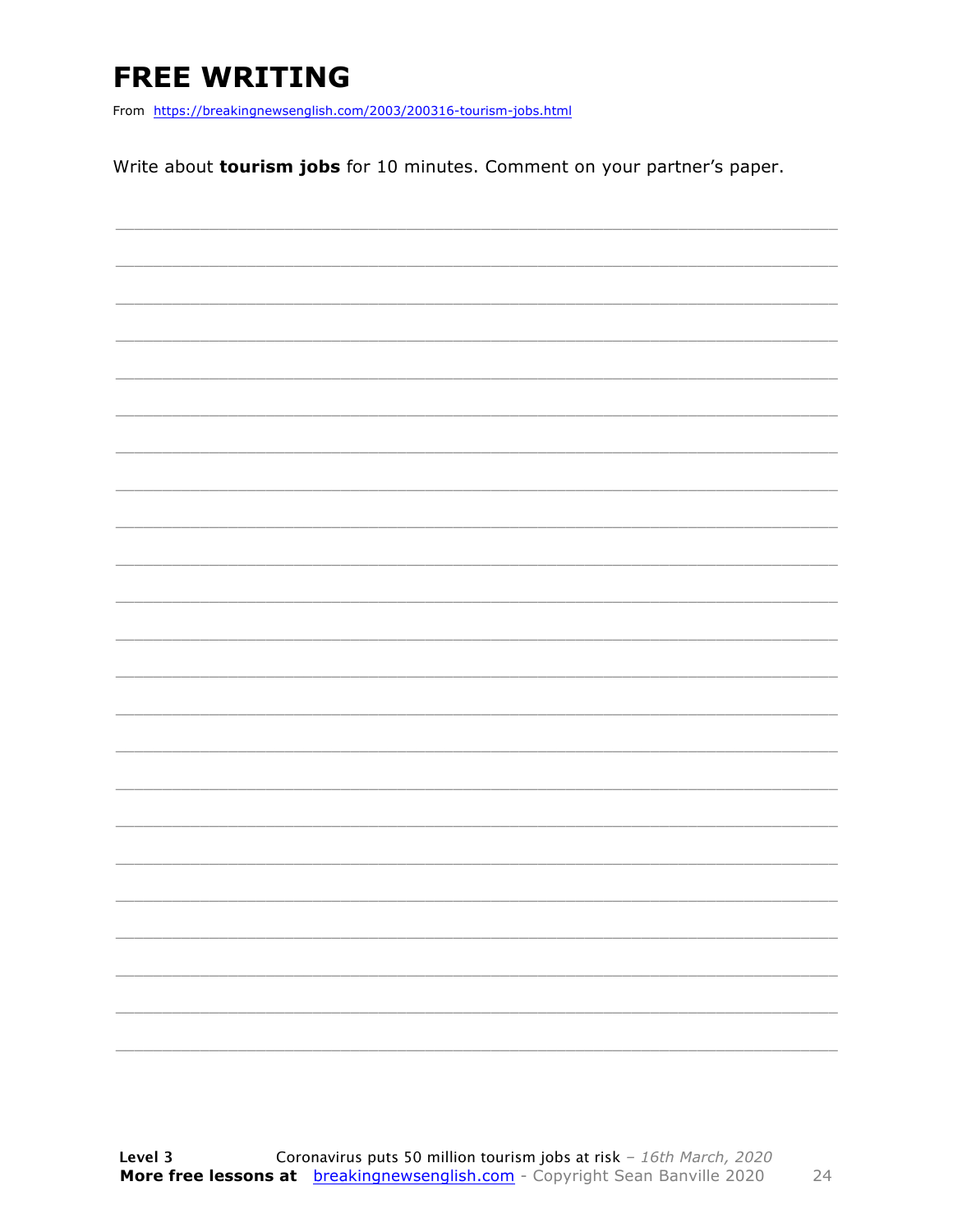### **FREE WRITING**

From https://breakingnewsenglish.com/2003/200316-tourism-jobs.html

Write about tourism jobs for 10 minutes. Comment on your partner's paper.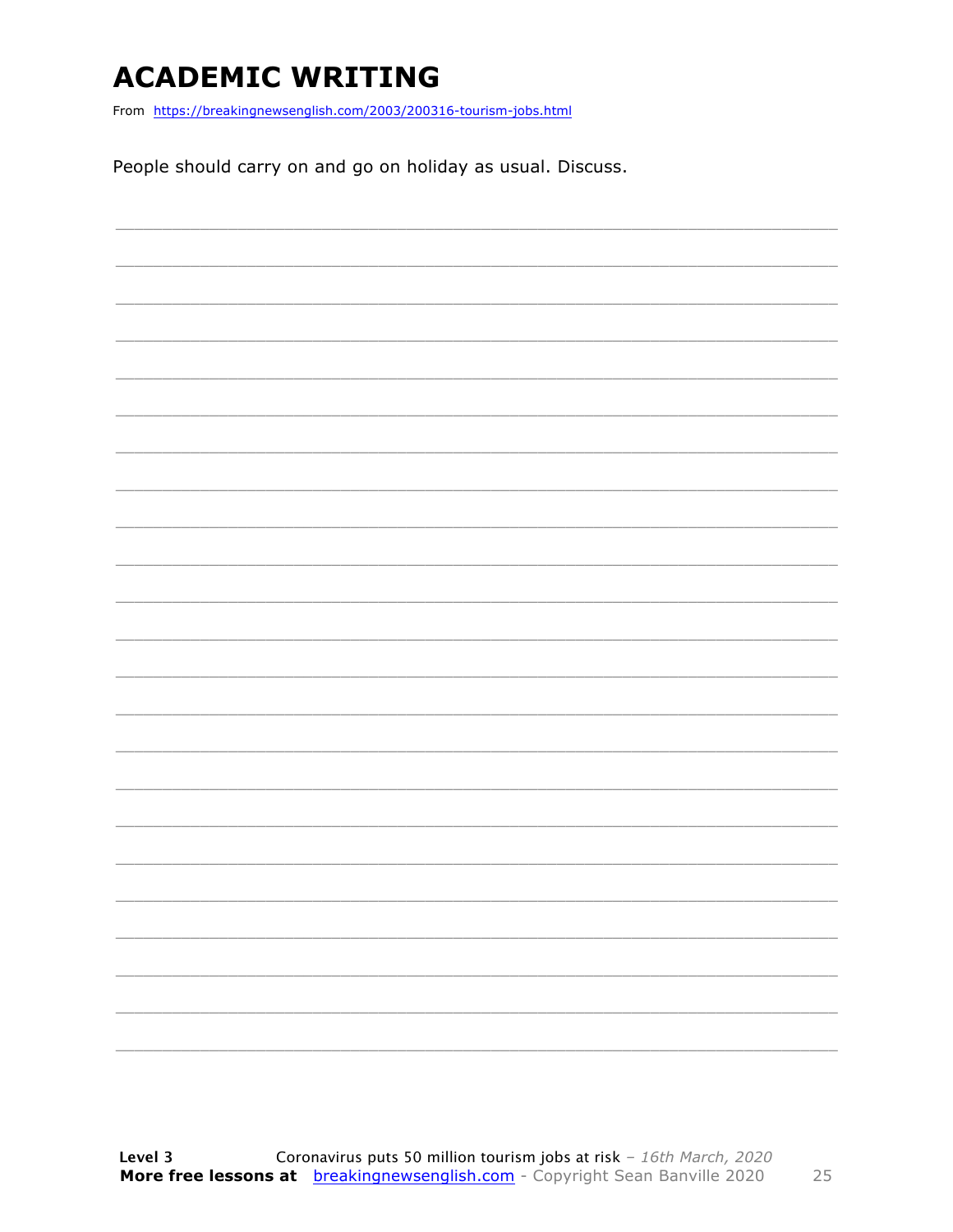### **ACADEMIC WRITING**

From https://breakingnewsenglish.com/2003/200316-tourism-jobs.html

People should carry on and go on holiday as usual. Discuss.

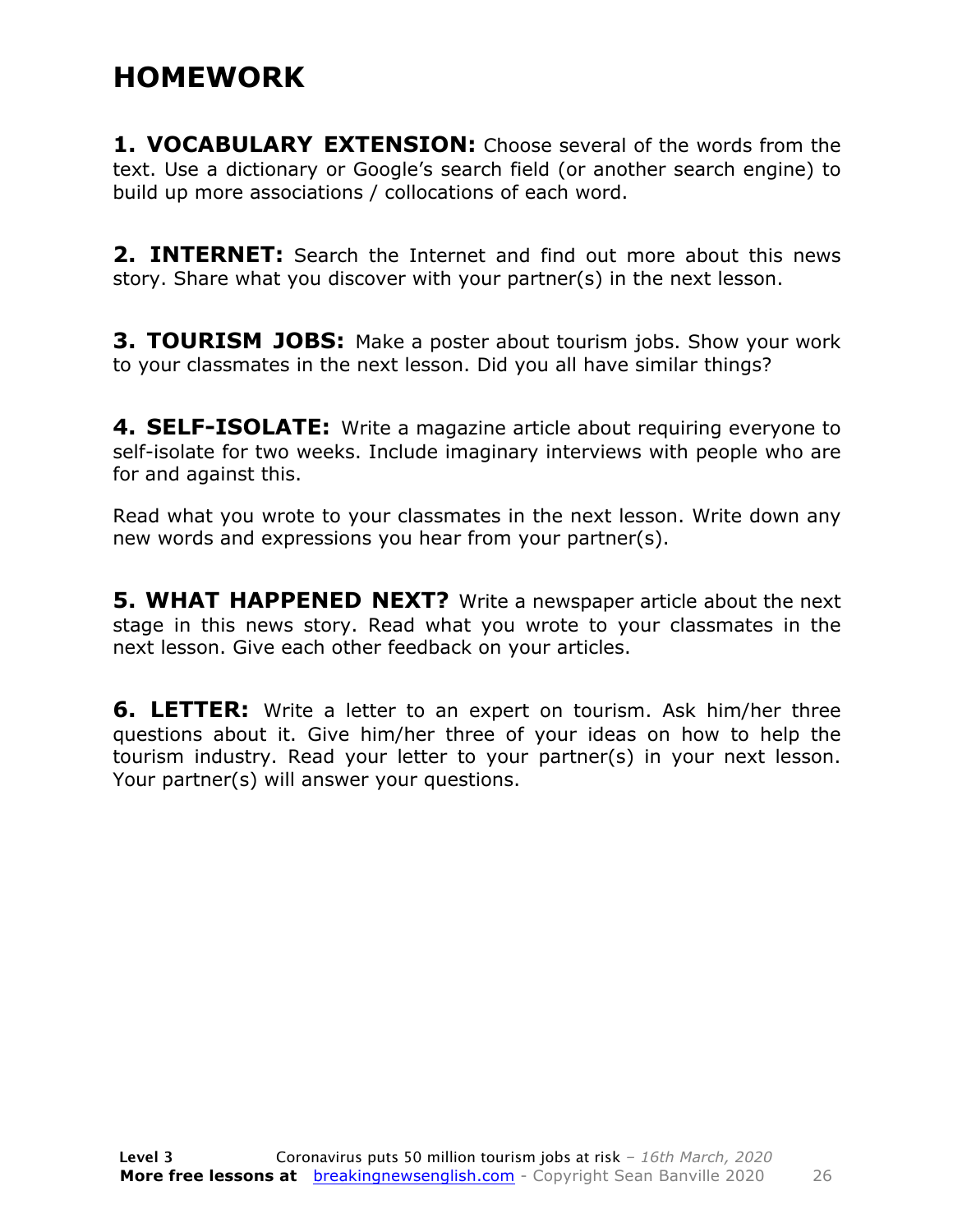### **HOMEWORK**

**1. VOCABULARY EXTENSION:** Choose several of the words from the text. Use a dictionary or Google's search field (or another search engine) to build up more associations / collocations of each word.

**2. INTERNET:** Search the Internet and find out more about this news story. Share what you discover with your partner(s) in the next lesson.

**3. TOURISM JOBS:** Make a poster about tourism jobs. Show your work to your classmates in the next lesson. Did you all have similar things?

**4. SELF-ISOLATE:** Write a magazine article about requiring everyone to self-isolate for two weeks. Include imaginary interviews with people who are for and against this.

Read what you wrote to your classmates in the next lesson. Write down any new words and expressions you hear from your partner(s).

**5. WHAT HAPPENED NEXT?** Write a newspaper article about the next stage in this news story. Read what you wrote to your classmates in the next lesson. Give each other feedback on your articles.

**6. LETTER:** Write a letter to an expert on tourism. Ask him/her three questions about it. Give him/her three of your ideas on how to help the tourism industry. Read your letter to your partner(s) in your next lesson. Your partner(s) will answer your questions.